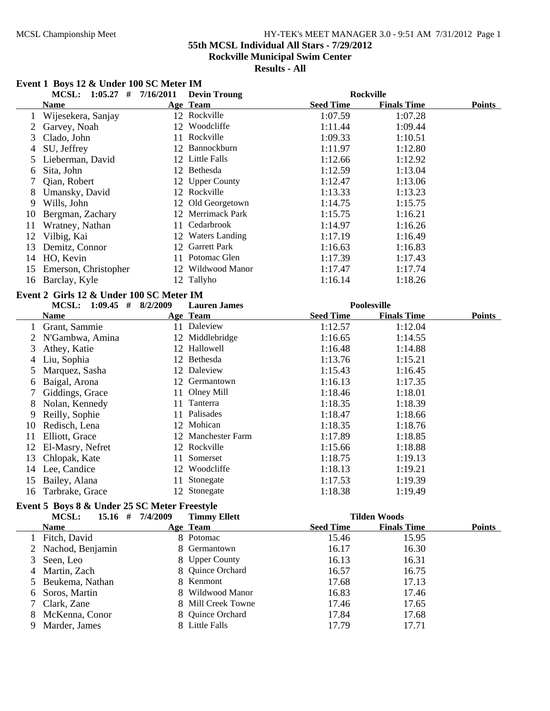#### MCSL Championship Meet HY-TEK's MEET MANAGER 3.0 - 9:51 AM 7/31/2012 Page 1 **55th MCSL Individual All Stars - 7/29/2012**

**Rockville Municipal Swim Center**

**Results - All**

# **Event 1 Boys 12 & Under 100 SC Meter IM MCSL: 1:05.27 # 7/16/2011 Rockville Devin Troung Name Age Team Seed Time Finals Time Points** 1 Wijesekera, Sanjay 12 Rockville 1:07.59 1:07.28 2 Garvey, Noah 12 Woodcliffe 1:11.44 1:09.44 3 Clado, John 11 Rockville 1:09.33 1:10.51 4 SU, Jeffrey 12 Bannockburn 1:11.97 1:12.80 5 Lieberman, David 12 Little Falls 1:12.66 1:12.92 6 Sita, John 1:13.04 12 Bethesda 1:12.59 7 Qian, Robert 12 Upper County 1:12.47 1:13.06<br>
8 Umansky, David 12 Rockville 1:13.33 1:13.23 8 Umansky, David 12 Rockville 1:13.33 1:13.23 9 Wills, John 12 Old Georgetown 1:14.75 1:15.75 10 Bergman, Zachary 1:16.21 12 Merrimack Park 1:15.75 11 Wratney, Nathan 11 Cedarbrook 1:14.97 1:16.26 12 Vilbig, Kai 12 Waters Landing 1:17.19 1:16.49 13 Demitz, Connor 12 Garrett Park 1:16.63 1:16.83 14 HO, Kevin 11 Potomac Glen 1:17.39 1:17.43<br>15 Emerson Christopher 12 Wildwood Manor 1:17.47 1:17.74 15 Emerson, Christopher 12 Wildwood Manor 1:17.47 1:17.74 16 Barclay, Kyle 12 Tallyho 1:16.14 1:18.26 **Event 2 Girls 12 & Under 100 SC Meter IM MCSL: 1:09.45 # 8/2/2009 Poolesville Lauren James Name Age Team Seed Time Finals Time Points** 1 Grant, Sammie 11 Daleview 1:12.57 1:12.04

|    | Grant, Sammie    | 11  | Daleview           | 1:12.57 | 1:12.04 |
|----|------------------|-----|--------------------|---------|---------|
|    | N'Gambwa, Amina  |     | 12 Middlebridge    | 1:16.65 | 1:14.55 |
| 3  | Athey, Katie     |     | 12 Hallowell       | 1:16.48 | 1:14.88 |
| 4  | Liu, Sophia      |     | 12 Bethesda        | 1:13.76 | 1:15.21 |
|    | Marquez, Sasha   |     | 12 Daleview        | 1:15.43 | 1:16.45 |
| 6  | Baigal, Arona    |     | 12 Germantown      | 1:16.13 | 1:17.35 |
|    | Giddings, Grace  |     | 11 Olney Mill      | 1:18.46 | 1:18.01 |
| 8  | Nolan, Kennedy   | 11  | Tanterra           | 1:18.35 | 1:18.39 |
| 9  | Reilly, Sophie   | 11. | Palisades          | 1:18.47 | 1:18.66 |
| 10 | Redisch, Lena    |     | 12 Mohican         | 1:18.35 | 1:18.76 |
| 11 | Elliott, Grace   |     | 12 Manchester Farm | 1:17.89 | 1:18.85 |
| 12 | El-Masry, Nefret |     | 12 Rockville       | 1:15.66 | 1:18.88 |
| 13 | Chlopak, Kate    | 11  | Somerset           | 1:18.75 | 1:19.13 |
| 14 | Lee, Candice     |     | 12 Woodcliffe      | 1:18.13 | 1:19.21 |
| 15 | Bailey, Alana    |     | Stonegate          | 1:17.53 | 1:19.39 |
| 16 | Tarbrake, Grace  |     | 12 Stonegate       | 1:18.38 | 1:19.49 |

# **Event 5 Boys 8 & Under 25 SC Meter Freestyle**

|   | <b>MCSL:</b><br>$15.16$ # | 7/4/2009 | <b>Timmy Ellett</b> |                  | <b>Tilden Woods</b> |               |
|---|---------------------------|----------|---------------------|------------------|---------------------|---------------|
|   | <b>Name</b>               |          | Age Team            | <b>Seed Time</b> | <b>Finals Time</b>  | <b>Points</b> |
|   | Fitch, David              |          | 8 Potomac           | 15.46            | 15.95               |               |
|   | 2 Nachod, Benjamin        |          | 8 Germantown        | 16.17            | 16.30               |               |
|   | Seen, Leo                 |          | 8 Upper County      | 16.13            | 16.31               |               |
| 4 | Martin, Zach              |          | 8 Quince Orchard    | 16.57            | 16.75               |               |
|   | 5 Beukema, Nathan         |          | 8 Kenmont           | 17.68            | 17.13               |               |
| 6 | Soros, Martin             |          | 8 Wildwood Manor    | 16.83            | 17.46               |               |
|   | 7 Clark, Zane             |          | 8 Mill Creek Towne  | 17.46            | 17.65               |               |
| 8 | McKenna, Conor            |          | 8 Quince Orchard    | 17.84            | 17.68               |               |
| 9 | Marder, James             |          | 8 Little Falls      | 17.79            | 17.71               |               |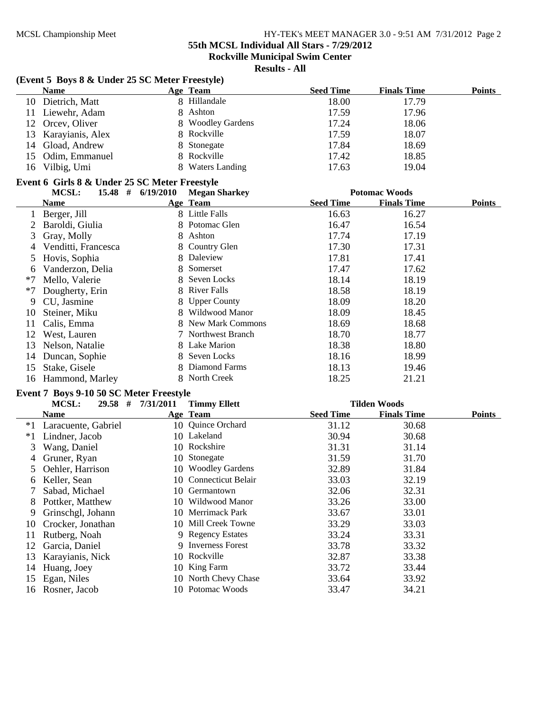**55th MCSL Individual All Stars - 7/29/2012**

**Rockville Municipal Swim Center**

| (Event 5 Boys 8 & Under 25 SC Meter Freestyle)<br><b>Seed Time</b><br><b>Name</b><br>Age Team<br>8 Hillandale<br>Dietrich, Matt<br>18.00<br>10<br>8 Ashton<br>17.59<br>11<br>Liewehr, Adam<br>8 Woodley Gardens<br>17.24<br>12<br>Orcey, Oliver | <b>Finals Time</b><br><b>Points</b><br>17.79<br>17.96<br>18.06<br>18.07 |
|-------------------------------------------------------------------------------------------------------------------------------------------------------------------------------------------------------------------------------------------------|-------------------------------------------------------------------------|
|                                                                                                                                                                                                                                                 |                                                                         |
|                                                                                                                                                                                                                                                 |                                                                         |
|                                                                                                                                                                                                                                                 |                                                                         |
|                                                                                                                                                                                                                                                 |                                                                         |
| 8 Rockville<br>17.59<br>Karayianis, Alex<br>13                                                                                                                                                                                                  |                                                                         |
| 17.84<br>Gload, Andrew<br>8<br>Stonegate<br>14                                                                                                                                                                                                  | 18.69                                                                   |
| 8 Rockville<br>17.42<br>15<br>Odim, Emmanuel                                                                                                                                                                                                    | 18.85                                                                   |
| 8 Waters Landing<br>Vilbig, Umi<br>17.63<br>16                                                                                                                                                                                                  | 19.04                                                                   |
| Event 6 Girls 8 & Under 25 SC Meter Freestyle                                                                                                                                                                                                   |                                                                         |
| <b>MCSL:</b><br><b>Potomac Woods</b><br>$15.48$ #<br>6/19/2010<br><b>Megan Sharkey</b>                                                                                                                                                          |                                                                         |
| <b>Seed Time</b><br>Age Team<br><b>Name</b>                                                                                                                                                                                                     | <b>Finals Time</b><br><b>Points</b>                                     |
| 8 Little Falls<br>16.63<br>Berger, Jill                                                                                                                                                                                                         | 16.27                                                                   |
| Potomac Glen<br>8<br>16.47<br>2<br>Baroldi, Giulia                                                                                                                                                                                              | 16.54                                                                   |
| 8 Ashton<br>17.74<br>3<br>Gray, Molly                                                                                                                                                                                                           | 17.19                                                                   |
| 8 Country Glen<br>17.30<br>Venditti, Francesca<br>4                                                                                                                                                                                             | 17.31                                                                   |
| 8 Daleview<br>17.81<br>Hovis, Sophia<br>5                                                                                                                                                                                                       | 17.41                                                                   |
| Somerset<br>Vanderzon, Delia<br>8<br>17.47<br>6                                                                                                                                                                                                 | 17.62                                                                   |
| Seven Locks<br>18.14<br>*7<br>Mello, Valerie<br>8                                                                                                                                                                                               | 18.19                                                                   |
| 8 River Falls<br>18.58<br>$*7$<br>Dougherty, Erin                                                                                                                                                                                               | 18.19                                                                   |
| CU, Jasmine<br><b>Upper County</b><br>18.09<br>9                                                                                                                                                                                                | 18.20                                                                   |
| 8 Wildwood Manor<br>18.09<br>Steiner, Miku<br>10                                                                                                                                                                                                | 18.45                                                                   |
| 8 New Mark Commons<br>18.69<br>11<br>Calis, Emma                                                                                                                                                                                                | 18.68                                                                   |
| 7 Northwest Branch<br>18.70<br>12<br>West, Lauren                                                                                                                                                                                               | 18.77                                                                   |
| 8 Lake Marion<br>18.38<br>13<br>Nelson, Natalie                                                                                                                                                                                                 | 18.80                                                                   |
| Seven Locks<br>18.16<br>Duncan, Sophie<br>8<br>14                                                                                                                                                                                               | 18.99                                                                   |
| Diamond Farms<br>18.13<br>15<br>Stake, Gisele<br>8                                                                                                                                                                                              | 19.46                                                                   |
| 8 North Creek<br>18.25<br>16<br>Hammond, Marley                                                                                                                                                                                                 | 21.21                                                                   |
| Event 7 Boys 9-10 50 SC Meter Freestyle                                                                                                                                                                                                         |                                                                         |
| $29.58$ #<br>7/31/2011<br><b>Timmy Ellett</b><br><b>Tilden Woods</b><br>MCSL:                                                                                                                                                                   |                                                                         |
| <b>Seed Time</b><br><b>Name</b><br>Age Team                                                                                                                                                                                                     | <b>Finals Time</b><br><b>Points</b>                                     |
| 10 Quince Orchard<br>$*1$<br>31.12<br>Laracuente, Gabriel                                                                                                                                                                                       | 30.68                                                                   |
| 10 Lakeland<br>$*1$<br>Lindner, Jacob<br>30.94                                                                                                                                                                                                  | 30.68                                                                   |
| 10 Rockshire<br>3<br>Wang, Daniel<br>31.31                                                                                                                                                                                                      | 31.14                                                                   |
| Stonegate<br>Gruner, Ryan<br>31.59<br>10<br>4                                                                                                                                                                                                   | 31.70                                                                   |
| 10 Woodley Gardens<br>5<br>Oehler, Harrison<br>32.89                                                                                                                                                                                            | 31.84                                                                   |
| Keller, Sean<br>10 Connecticut Belair<br>33.03<br>6                                                                                                                                                                                             | 32.19                                                                   |
| Sabad, Michael<br>10 Germantown<br>32.06                                                                                                                                                                                                        | 32.31                                                                   |
| 10 Wildwood Manor<br>33.26<br>Pottker, Matthew<br>8                                                                                                                                                                                             | 33.00                                                                   |
| 10 Merrimack Park<br>33.67<br>Grinschgl, Johann<br>9                                                                                                                                                                                            | 33.01                                                                   |
| 10 Mill Creek Towne<br>33.29<br>Crocker, Jonathan<br>10                                                                                                                                                                                         | 33.03                                                                   |
| 9 Regency Estates<br>33.24<br>11<br>Rutberg, Noah                                                                                                                                                                                               | 33.31                                                                   |
| 9 Inverness Forest<br>12<br>33.78<br>Garcia, Daniel                                                                                                                                                                                             | 33.32                                                                   |
| Rockville<br>32.87<br>13<br>Karayianis, Nick<br>10                                                                                                                                                                                              | 33.38                                                                   |
| 10 King Farm<br>33.72<br>14<br>Huang, Joey                                                                                                                                                                                                      | 33.44                                                                   |
| 10 North Chevy Chase<br>15<br>Egan, Niles<br>33.64                                                                                                                                                                                              | 33.92                                                                   |
| 10 Potomac Woods<br>33.47<br>Rosner, Jacob<br>16                                                                                                                                                                                                | 34.21                                                                   |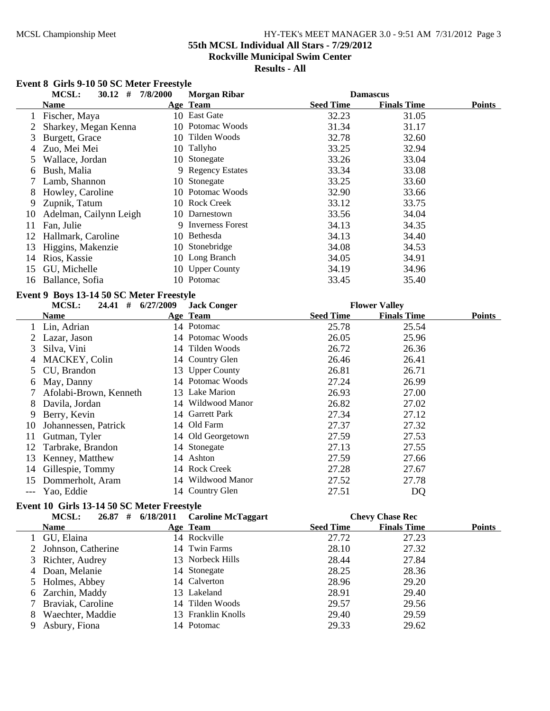# MCSL Championship Meet HY-TEK's MEET MANAGER 3.0 - 9:51 AM 7/31/2012 Page 3 **55th MCSL Individual All Stars - 7/29/2012 Rockville Municipal Swim Center**

**Results - All**

# **Event 8 Girls 9-10 50 SC Meter Freestyle**

|    | MCSL:<br>$30.12$ #                       | 7/8/2000 | <b>Morgan Ribar</b> |                  | <b>Damascus</b>      |               |
|----|------------------------------------------|----------|---------------------|------------------|----------------------|---------------|
|    | <b>Name</b>                              |          | Age Team            | <b>Seed Time</b> | <b>Finals Time</b>   | <b>Points</b> |
| 1  | Fischer, Maya                            |          | 10 East Gate        | 32.23            | 31.05                |               |
| 2  | Sharkey, Megan Kenna                     |          | 10 Potomac Woods    | 31.34            | 31.17                |               |
| 3  | Burgett, Grace                           |          | 10 Tilden Woods     | 32.78            | 32.60                |               |
| 4  | Zuo, Mei Mei                             |          | 10 Tallyho          | 33.25            | 32.94                |               |
| 5  | Wallace, Jordan                          |          | 10 Stonegate        | 33.26            | 33.04                |               |
| 6  | Bush, Malia                              |          | 9 Regency Estates   | 33.34            | 33.08                |               |
| 7  | Lamb, Shannon                            |          | 10 Stonegate        | 33.25            | 33.60                |               |
| 8  | Howley, Caroline                         |          | 10 Potomac Woods    | 32.90            | 33.66                |               |
| 9  | Zupnik, Tatum                            |          | 10 Rock Creek       | 33.12            | 33.75                |               |
| 10 | Adelman, Cailynn Leigh                   |          | 10 Darnestown       | 33.56            | 34.04                |               |
| 11 | Fan, Julie                               |          | 9 Inverness Forest  | 34.13            | 34.35                |               |
| 12 | Hallmark, Caroline                       |          | 10 Bethesda         | 34.13            | 34.40                |               |
| 13 | Higgins, Makenzie                        |          | 10 Stonebridge      | 34.08            | 34.53                |               |
| 14 | Rios, Kassie                             |          | 10 Long Branch      | 34.05            | 34.91                |               |
| 15 | GU, Michelle                             |          | 10 Upper County     | 34.19            | 34.96                |               |
| 16 | Ballance, Sofia                          |          | 10 Potomac          | 33.45            | 35.40                |               |
|    | Event 9 Boys 13-14 50 SC Meter Freestyle |          |                     |                  |                      |               |
|    | MCSL:<br>24.41 # 6/27/2009               |          | <b>Jack Conger</b>  |                  | <b>Flower Valley</b> |               |
|    | <b>Name</b>                              |          | Age Team            | <b>Seed Time</b> | <b>Finals Time</b>   | <b>Points</b> |
| 1  | Lin, Adrian                              |          | 14 Potomac          | 25.78            | 25.54                |               |
| 2  | Lazar, Jason                             |          | 14 Potomac Woods    | 26.05            | 25.96                |               |
| 3  | Silva, Vini                              |          | 14 Tilden Woods     | 26.72            | 26.36                |               |
| 4  | MACKEY, Colin                            |          | 14 Country Glen     | 26.46            | 26.41                |               |
| 5  | CU, Brandon                              |          | 13 Upper County     | 26.81            | 26.71                |               |
| 6  | May, Danny                               |          | 14 Potomac Woods    | 27.24            | 26.99                |               |
| 7  | Afolabi-Brown, Kenneth                   |          | 13 Lake Marion      | 26.93            | 27.00                |               |
| 8  | Davila, Jordan                           |          | 14 Wildwood Manor   | 26.82            | 27.02                |               |
| 9  | Berry, Kevin                             |          | 14 Garrett Park     | 27.34            | 27.12                |               |
| 10 | Johannessen, Patrick                     |          | 14 Old Farm         | 27.37            | 27.32                |               |
| 11 | Gutman, Tyler                            |          | 14 Old Georgetown   | 27.59            | 27.53                |               |
| 12 | Tarbrake, Brandon                        |          | 14 Stonegate        | 27.13            | 27.55                |               |
| 13 | Kenney, Matthew                          |          | 14 Ashton           | 27.59            | 27.66                |               |
| 14 | Gillespie, Tommy                         |          | 14 Rock Creek       | 27.28            | 27.67                |               |
| 15 | Dommerholt, Aram                         |          | 14 Wildwood Manor   | 27.52            | 27.78                |               |

#### **Event 10 Girls 13-14 50 SC Meter Freestyle**

|   | <b>MCSL:</b><br>26.87# | 6/18/2011 | <b>Caroline McTaggart</b> |                  | <b>Chevy Chase Rec</b> |               |
|---|------------------------|-----------|---------------------------|------------------|------------------------|---------------|
|   | <b>Name</b>            |           | Age Team                  | <b>Seed Time</b> | <b>Finals Time</b>     | <b>Points</b> |
|   | 1 GU, Elaina           |           | 14 Rockville              | 27.72            | 27.23                  |               |
|   | 2 Johnson, Catherine   |           | 14 Twin Farms             | 28.10            | 27.32                  |               |
|   | 3 Richter, Audrey      |           | 13 Norbeck Hills          | 28.44            | 27.84                  |               |
|   | 4 Doan, Melanie        |           | 14 Stonegate              | 28.25            | 28.36                  |               |
|   | 5 Holmes, Abbey        |           | 14 Calverton              | 28.96            | 29.20                  |               |
|   | 6 Zarchin, Maddy       |           | 13 Lakeland               | 28.91            | 29.40                  |               |
|   | 7 Braviak, Caroline    |           | 14 Tilden Woods           | 29.57            | 29.56                  |               |
| 8 | Waechter, Maddie       |           | 13 Franklin Knolls        | 29.40            | 29.59                  |               |
|   | Asbury, Fiona          |           | 14 Potomac                | 29.33            | 29.62                  |               |

--- Yao, Eddie 14 Country Glen 27.51 DQ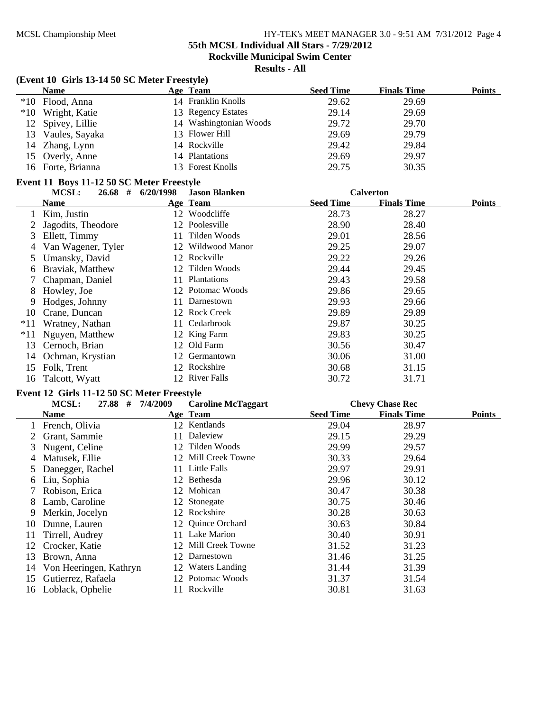# **55th MCSL Individual All Stars - 7/29/2012**

**Rockville Municipal Swim Center**

**Results - All**

# **(Event 10 Girls 13-14 50 SC Meter Freestyle)**

| $(20, 20, 20, 0)$ and $(20, 20, 0)$ $(20, 20, 0)$ and $(20, 0)$ |  |                        |                  |                    |        |  |
|-----------------------------------------------------------------|--|------------------------|------------------|--------------------|--------|--|
| <b>Name</b>                                                     |  | Age Team               | <b>Seed Time</b> | <b>Finals Time</b> | Points |  |
| *10 Flood, Anna                                                 |  | 14 Franklin Knolls     | 29.62            | 29.69              |        |  |
| *10 Wright, Katie                                               |  | 13 Regency Estates     | 29.14            | 29.69              |        |  |
| 12 Spivey, Lillie                                               |  | 14 Washingtonian Woods | 29.72            | 29.70              |        |  |
| 13 Vaules, Sayaka                                               |  | 13 Flower Hill         | 29.69            | 29.79              |        |  |
| 14 Zhang, Lynn                                                  |  | 14 Rockville           | 29.42            | 29.84              |        |  |
| 15 Overly, Anne                                                 |  | 14 Plantations         | 29.69            | 29.97              |        |  |
| 16 Forte, Brianna                                               |  | 13 Forest Knolls       | 29.75            | 30.35              |        |  |

#### **Event 11 Boys 11-12 50 SC Meter Freestyle**

|       | MCSL:<br>26.68<br># | 6/20/1998      | <b>Jason Blanken</b> |                  | <b>Calverton</b>   |               |
|-------|---------------------|----------------|----------------------|------------------|--------------------|---------------|
|       | Name                |                | Age Team             | <b>Seed Time</b> | <b>Finals Time</b> | <b>Points</b> |
|       | Kim, Justin         | 12             | Woodcliffe           | 28.73            | 28.27              |               |
|       | Jagodits, Theodore  | 12             | Poolesville          | 28.90            | 28.40              |               |
| 3     | Ellett, Timmy       | 11             | Tilden Woods         | 29.01            | 28.56              |               |
| 4     | Van Wagener, Tyler  | 12             | Wildwood Manor       | 29.25            | 29.07              |               |
| 5     | Umansky, David      |                | 12 Rockville         | 29.22            | 29.26              |               |
| 6     | Braviak, Matthew    |                | 12 Tilden Woods      | 29.44            | 29.45              |               |
|       | Chapman, Daniel     | 11.            | <b>Plantations</b>   | 29.43            | 29.58              |               |
| 8     | Howley, Joe         |                | 12 Potomac Woods     | 29.86            | 29.65              |               |
| 9     | Hodges, Johnny      |                | Darnestown           | 29.93            | 29.66              |               |
| 10    | Crane, Duncan       |                | 12 Rock Creek        | 29.89            | 29.89              |               |
| $*11$ | Wratney, Nathan     | 11-            | Cedarbrook           | 29.87            | 30.25              |               |
| $*11$ | Nguyen, Matthew     |                | 12 King Farm         | 29.83            | 30.25              |               |
| 13    | Cernoch, Brian      | 12             | Old Farm             | 30.56            | 30.47              |               |
| 14    | Ochman, Krystian    | 12             | Germantown           | 30.06            | 31.00              |               |
| 15    | Folk, Trent         | $\frac{12}{2}$ | Rockshire            | 30.68            | 31.15              |               |
|       | 16 Talcott, Wyatt   |                | 12 River Falls       | 30.72            | 31.71              |               |

# **Event 12 Girls 11-12 50 SC Meter Freestyle**

|    | 27.88<br><b>MCSL:</b><br># | 7/4/2009 | <b>Caroline McTaggart</b> |                  | <b>Chevy Chase Rec</b> |               |
|----|----------------------------|----------|---------------------------|------------------|------------------------|---------------|
|    | Name                       |          | Age Team                  | <b>Seed Time</b> | <b>Finals Time</b>     | <b>Points</b> |
|    | French, Olivia             |          | 12 Kentlands              | 29.04            | 28.97                  |               |
|    | Grant, Sammie              |          | Daleview                  | 29.15            | 29.29                  |               |
| 3  | Nugent, Celine             |          | 12 Tilden Woods           | 29.99            | 29.57                  |               |
| 4  | Matusek, Ellie             |          | 12 Mill Creek Towne       | 30.33            | 29.64                  |               |
| 5. | Danegger, Rachel           | 11.      | Little Falls              | 29.97            | 29.91                  |               |
| 6  | Liu, Sophia                |          | 12 Bethesda               | 29.96            | 30.12                  |               |
|    | Robison, Erica             |          | 12 Mohican                | 30.47            | 30.38                  |               |
| 8  | Lamb, Caroline             |          | 12 Stonegate              | 30.75            | 30.46                  |               |
| 9  | Merkin, Jocelyn            |          | 12 Rockshire              | 30.28            | 30.63                  |               |
| 10 | Dunne, Lauren              |          | 12 Quince Orchard         | 30.63            | 30.84                  |               |
| 11 | Tirrell, Audrey            | 11       | Lake Marion               | 30.40            | 30.91                  |               |
| 12 | Crocker, Katie             |          | 12 Mill Creek Towne       | 31.52            | 31.23                  |               |
| 13 | Brown, Anna                | 12       | Darnestown                | 31.46            | 31.25                  |               |
| 14 | Von Heeringen, Kathryn     |          | 12 Waters Landing         | 31.44            | 31.39                  |               |
| 15 | Gutierrez, Rafaela         |          | 12 Potomac Woods          | 31.37            | 31.54                  |               |
| 16 | Loblack, Ophelie           |          | Rockville                 | 30.81            | 31.63                  |               |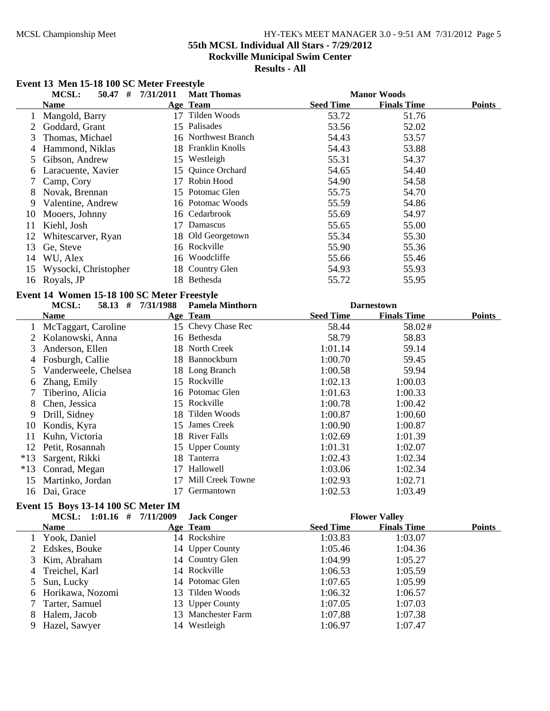## MCSL Championship Meet HY-TEK's MEET MANAGER 3.0 - 9:51 AM 7/31/2012 Page 5 **55th MCSL Individual All Stars - 7/29/2012**

**Rockville Municipal Swim Center**

**Results - All**

# **Event 13 Men 15-18 100 SC Meter Freestyle**

|       | MCSL:<br>$50.47$ #                          | 7/31/2011         | <b>Matt Thomas</b>     |                  | <b>Manor Woods</b>   |               |
|-------|---------------------------------------------|-------------------|------------------------|------------------|----------------------|---------------|
|       | <b>Name</b>                                 |                   | Age Team               | <b>Seed Time</b> | <b>Finals Time</b>   | <b>Points</b> |
| 1     | Mangold, Barry                              |                   | 17 Tilden Woods        | 53.72            | 51.76                |               |
| 2     | Goddard, Grant                              |                   | 15 Palisades           | 53.56            | 52.02                |               |
| 3     | Thomas, Michael                             |                   | 16 Northwest Branch    | 54.43            | 53.57                |               |
| 4     | Hammond, Niklas                             |                   | 18 Franklin Knolls     | 54.43            | 53.88                |               |
| 5     | Gibson, Andrew                              |                   | 15 Westleigh           | 55.31            | 54.37                |               |
| 6     | Laracuente, Xavier                          |                   | 15 Quince Orchard      | 54.65            | 54.40                |               |
| 7     | Camp, Cory                                  |                   | 17 Robin Hood          | 54.90            | 54.58                |               |
| 8     | Novak, Brennan                              |                   | 15 Potomac Glen        | 55.75            | 54.70                |               |
| 9     | Valentine, Andrew                           |                   | 16 Potomac Woods       | 55.59            | 54.86                |               |
| 10    | Mooers, Johnny                              |                   | 16 Cedarbrook          | 55.69            | 54.97                |               |
| 11    | Kiehl, Josh                                 |                   | 17 Damascus            | 55.65            | 55.00                |               |
| 12    | Whitescarver, Ryan                          |                   | 18 Old Georgetown      | 55.34            | 55.30                |               |
| 13    | Ge, Steve                                   |                   | 16 Rockville           | 55.90            | 55.36                |               |
| 14    | WU, Alex                                    |                   | 16 Woodcliffe          | 55.66            | 55.46                |               |
| 15    | Wysocki, Christopher                        |                   | 18 Country Glen        | 54.93            | 55.93                |               |
| 16    | Royals, JP                                  |                   | 18 Bethesda            | 55.72            | 55.95                |               |
|       | Event 14 Women 15-18 100 SC Meter Freestyle |                   |                        |                  |                      |               |
|       | <b>MCSL:</b>                                | 58.13 # 7/31/1988 | <b>Pamela Minthorn</b> |                  | <b>Darnestown</b>    |               |
|       | <b>Name</b>                                 |                   | Age Team               | <b>Seed Time</b> | <b>Finals Time</b>   | <b>Points</b> |
| 1     | McTaggart, Caroline                         |                   | 15 Chevy Chase Rec     | 58.44            | 58.02#               |               |
| 2     | Kolanowski, Anna                            |                   | 16 Bethesda            | 58.79            | 58.83                |               |
| 3     | Anderson, Ellen                             |                   | 18 North Creek         | 1:01.14          | 59.14                |               |
| 4     | Fosburgh, Callie                            |                   | 18 Bannockburn         | 1:00.70          | 59.45                |               |
| 5     | Vanderweele, Chelsea                        |                   | 18 Long Branch         | 1:00.58          | 59.94                |               |
| 6     | Zhang, Emily                                |                   | 15 Rockville           | 1:02.13          | 1:00.03              |               |
| 7     | Tiberino, Alicia                            |                   | 16 Potomac Glen        | 1:01.63          | 1:00.33              |               |
| 8     | Chen, Jessica                               |                   | 15 Rockville           | 1:00.78          | 1:00.42              |               |
| 9     | Drill, Sidney                               |                   | 18 Tilden Woods        | 1:00.87          | 1:00.60              |               |
| 10    | Kondis, Kyra                                |                   | 15 James Creek         | 1:00.90          | 1:00.87              |               |
| 11    | Kuhn, Victoria                              |                   | 18 River Falls         | 1:02.69          | 1:01.39              |               |
| 12    | Petit, Rosannah                             |                   | 15 Upper County        | 1:01.31          | 1:02.07              |               |
| $*13$ | Sargent, Rikki                              |                   | 18 Tanterra            | 1:02.43          | 1:02.34              |               |
| $*13$ | Conrad, Megan                               |                   | 17 Hallowell           | 1:03.06          | 1:02.34              |               |
| 15    | Martinko, Jordan                            |                   | 17 Mill Creek Towne    | 1:02.93          | 1:02.71              |               |
|       | 16 Dai, Grace                               |                   | 17 Germantown          | 1:02.53          | 1:03.49              |               |
|       | Event 15 Boys 13-14 100 SC Meter IM         |                   |                        |                  |                      |               |
|       | MCSL: 1:01.16 # 7/11/2009                   |                   | <b>Jack Conger</b>     |                  | <b>Flower Valley</b> |               |
|       | <b>Name</b>                                 |                   | Age Team               | <b>Seed Time</b> | <b>Finals Time</b>   | <b>Points</b> |
| 1     | Yook, Daniel                                |                   | 14 Rockshire           | 1:03.83          | 1:03.07              |               |
|       | 2 Edskes, Bouke                             |                   | 14 Upper County        | 1:05.46          | 1:04.36              |               |
|       | 3 Kim Ahraham                               |                   | 14 Country Glen        | 1.0499           | 1.0527               |               |

1:04.99 1:05.27<br>
3 Treichel, Karl 14 Rockville 1:06.53 1:05.59 4 Treichel, Karl 14 Rockville 1:06.53 1:05.59 5 Sun, Lucky 14 Potomac Glen 1:07.65 1:05.99<br>
6 Horikawa, Nozomi 13 Tilden Woods 1:06.32 1:06.57 6 Horikawa, Nozomi 13 Tilden Woods 1:06.32 1:06.57<br>
7 Tarter, Samuel 13 Upper County 1:07.05 1:07.03 13 Upper County 1:07.05 1:07.03 8 Halem, Jacob 13 Manchester Farm 1:07.88 1:07.38

9 Hazel, Sawyer 14 Westleigh 1:06.97 1:07.47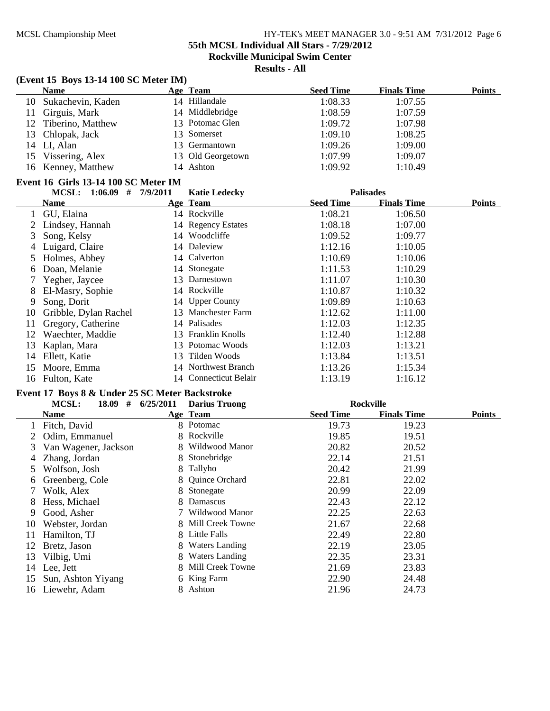**55th MCSL Individual All Stars - 7/29/2012**

**Rockville Municipal Swim Center**

**Results - All**

# **(Event 15 Boys 13-14 100 SC Meter IM)**

|    | <b>Name</b>                          |          | Age Team             | <b>Seed Time</b> | <b>Finals Time</b> | <b>Points</b> |
|----|--------------------------------------|----------|----------------------|------------------|--------------------|---------------|
| 10 | Sukachevin, Kaden                    |          | 14 Hillandale        | 1:08.33          | 1:07.55            |               |
| 11 | Girguis, Mark                        |          | 14 Middlebridge      | 1:08.59          | 1:07.59            |               |
| 12 | Tiberino, Matthew                    |          | 13 Potomac Glen      | 1:09.72          | 1:07.98            |               |
| 13 | Chlopak, Jack                        | 13       | Somerset             | 1:09.10          | 1:08.25            |               |
| 14 | LI, Alan                             | 13       | Germantown           | 1:09.26          | 1:09.00            |               |
| 15 | Vissering, Alex                      | 13       | Old Georgetown       | 1:07.99          | 1:09.07            |               |
| 16 | Kenney, Matthew                      |          | 14 Ashton            | 1:09.92          | 1:10.49            |               |
|    | Event 16 Girls 13-14 100 SC Meter IM |          |                      |                  |                    |               |
|    | MCSL: $1:06.09$ #                    | 7/9/2011 | <b>Katie Ledecky</b> |                  | <b>Palisades</b>   |               |
|    | Name                                 |          | Age Team             | <b>Seed Time</b> | <b>Finals Time</b> | Points        |
|    | GU, Elaina                           |          | 14 Rockville         | 1:08.21          | 1:06.50            |               |
|    | Lindsey, Hannah                      |          | 14 Regency Estates   | 1:08.18          | 1:07.00            |               |
| 3  | Song, Kelsy                          |          | 14 Woodcliffe        | 1:09.52          | 1:09.77            |               |
| 4  | Luigard, Claire                      |          | 14 Daleview          | 1:12.16          | 1:10.05            |               |
| 5  | Holmes, Abbey                        |          | 14 Calverton         | 1:10.69          | 1:10.06            |               |
| 6  | Doan, Melanie                        |          | 14 Stonegate         | 1:11.53          | 1:10.29            |               |
|    | Yegher, Jaycee                       | 13       | Darnestown           | 1:11.07          | 1:10.30            |               |
| 8  | El-Masry, Sophie                     |          | 14 Rockville         | 1:10.87          | 1:10.32            |               |
| 9  | Song, Dorit                          |          | 14 Upper County      | 1:09.89          | 1:10.63            |               |
| 10 | Gribble, Dylan Rachel                |          | 13 Manchester Farm   | 1:12.62          | 1:11.00            |               |
|    | $\sim$ $\sim$ $\sim$ $\sim$ $\sim$   |          | $1.4$ D. $1!$ . $1$  | 1.1000           | 1.100              |               |

| 6 Doan, Melanie          |              | 14 Stonegate          | 1:11.53 | 1:10.29 |
|--------------------------|--------------|-----------------------|---------|---------|
| 7 Yegher, Jaycee         |              | 13 Darnestown         | 1:11.07 | 1:10.30 |
| 8 El-Masry, Sophie       |              | 14 Rockville          | 1:10.87 | 1:10.32 |
| 9 Song, Dorit            |              | 14 Upper County       | 1:09.89 | 1:10.63 |
| 10 Gribble, Dylan Rachel |              | 13 Manchester Farm    | 1:12.62 | 1:11.00 |
| 11 Gregory, Catherine    | 14 Palisades |                       | 1:12.03 | 1:12.35 |
| 12 Waechter, Maddie      |              | 13 Franklin Knolls    | 1:12.40 | 1:12.88 |
| 13 Kaplan, Mara          |              | 13 Potomac Woods      | 1:12.03 | 1:13.21 |
| 14 Ellett, Katie         |              | 13 Tilden Woods       | 1:13.84 | 1:13.51 |
| 15 Moore, Emma           |              | 14 Northwest Branch   | 1:13.26 | 1:15.34 |
| 16 Fulton, Kate          |              | 14 Connecticut Belair | 1:13.19 | 1:16.12 |

# **Event 17 Boys 8 & Under 25 SC Meter Backstroke**

|                 | 18.09<br>#<br>MCSL:  | 6/25/2011 | <b>Darius Truong</b>  |                  | <b>Rockville</b>   |               |
|-----------------|----------------------|-----------|-----------------------|------------------|--------------------|---------------|
|                 | Name                 |           | Age Team              | <b>Seed Time</b> | <b>Finals Time</b> | <b>Points</b> |
|                 | 1 Fitch, David       |           | 8 Potomac             | 19.73            | 19.23              |               |
|                 | Odim, Emmanuel       |           | 8 Rockville           | 19.85            | 19.51              |               |
| 3               | Van Wagener, Jackson | 8.        | Wildwood Manor        | 20.82            | 20.52              |               |
| 4               | Zhang, Jordan        | 8         | Stonebridge           | 22.14            | 21.51              |               |
| 5               | Wolfson, Josh        | 8         | Tallyho               | 20.42            | 21.99              |               |
| 6               | Greenberg, Cole      |           | 8 Quince Orchard      | 22.81            | 22.02              |               |
| $7\overline{ }$ | Wolk, Alex           |           | 8 Stonegate           | 20.99            | 22.09              |               |
| 8               | Hess, Michael        | 8         | Damascus              | 22.43            | 22.12              |               |
| 9               | Good, Asher          |           | Wildwood Manor        | 22.25            | 22.63              |               |
| 10              | Webster, Jordan      |           | 8 Mill Creek Towne    | 21.67            | 22.68              |               |
| 11              | Hamilton, TJ         |           | 8 Little Falls        | 22.49            | 22.80              |               |
| 12              | Bretz, Jason         | 8         | <b>Waters Landing</b> | 22.19            | 23.05              |               |
| 13              | Vilbig, Umi          | 8.        | <b>Waters Landing</b> | 22.35            | 23.31              |               |
| 14              | Lee, Jett            | 8         | Mill Creek Towne      | 21.69            | 23.83              |               |
| 15              | Sun, Ashton Yiyang   |           | 6 King Farm           | 22.90            | 24.48              |               |
| 16              | Liewehr, Adam        |           | Ashton                | 21.96            | 24.73              |               |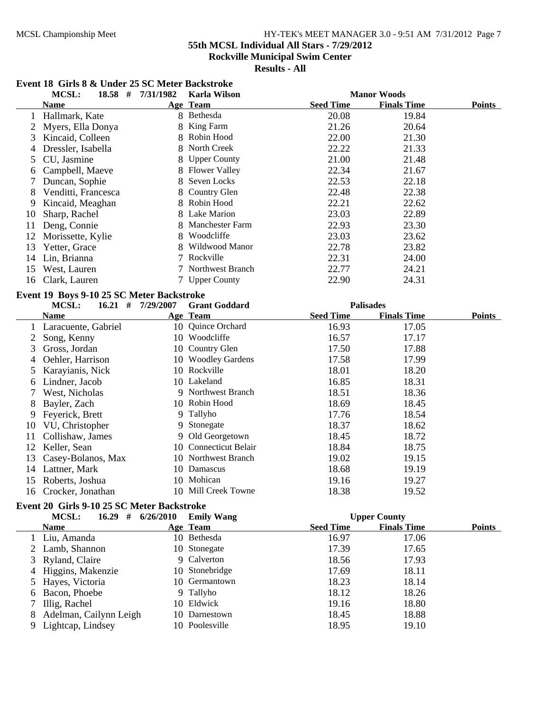**55th MCSL Individual All Stars - 7/29/2012**

**Rockville Municipal Swim Center**

**Results - All**

#### **Event 18 Girls 8 & Under 25 SC Meter Backstroke**

|                | MCSL:<br>$18.58$ #                         | 7/31/1982             | <b>Karla Wilson</b>   |                  | <b>Manor Woods</b>  |               |
|----------------|--------------------------------------------|-----------------------|-----------------------|------------------|---------------------|---------------|
|                | <b>Name</b>                                |                       | Age Team              | <b>Seed Time</b> | <b>Finals Time</b>  | <b>Points</b> |
|                | 1 Hallmark, Kate                           |                       | 8 Bethesda            | 20.08            | 19.84               |               |
| 2              | Myers, Ella Donya                          | 8                     | King Farm             | 21.26            | 20.64               |               |
| 3              | Kincaid, Colleen                           | 8.                    | Robin Hood            | 22.00            | 21.30               |               |
| 4              | Dressler, Isabella                         |                       | 8 North Creek         | 22.22            | 21.33               |               |
| 5              | CU, Jasmine                                | 8                     | <b>Upper County</b>   | 21.00            | 21.48               |               |
| 6              | Campbell, Maeve                            | 8                     | <b>Flower Valley</b>  | 22.34            | 21.67               |               |
| 7              | Duncan, Sophie                             | 8                     | Seven Locks           | 22.53            | 22.18               |               |
| 8              | Venditti, Francesca                        |                       | 8 Country Glen        | 22.48            | 22.38               |               |
| 9              | Kincaid, Meaghan                           |                       | 8 Robin Hood          | 22.21            | 22.62               |               |
| 10             | Sharp, Rachel                              |                       | 8 Lake Marion         | 23.03            | 22.89               |               |
| 11             | Deng, Connie                               |                       | 8 Manchester Farm     | 22.93            | 23.30               |               |
| 12             | Morissette, Kylie                          |                       | 8 Woodcliffe          | 23.03            | 23.62               |               |
| 13             | Yetter, Grace                              |                       | 8 Wildwood Manor      | 22.78            | 23.82               |               |
| 14             | Lin, Brianna                               |                       | 7 Rockville           | 22.31            | 24.00               |               |
| 15             | West, Lauren                               |                       | 7 Northwest Branch    | 22.77            | 24.21               |               |
| 16             | Clark, Lauren                              |                       | 7 Upper County        | 22.90            | 24.31               |               |
|                | Event 19 Boys 9-10 25 SC Meter Backstroke  |                       |                       |                  |                     |               |
|                | $16.21$ #<br>MCSL:                         | 7/29/2007             | <b>Grant Goddard</b>  |                  | <b>Palisades</b>    |               |
|                | <b>Name</b>                                |                       | Age Team              | <b>Seed Time</b> | <b>Finals Time</b>  | Points        |
| 1              | Laracuente, Gabriel                        |                       | 10 Quince Orchard     | 16.93            | 17.05               |               |
| 2              | Song, Kenny                                |                       | 10 Woodcliffe         | 16.57            | 17.17               |               |
| 3              | Gross, Jordan                              |                       | 10 Country Glen       | 17.50            | 17.88               |               |
| $\overline{4}$ | Oehler, Harrison                           |                       | 10 Woodley Gardens    | 17.58            | 17.99               |               |
| 5              | Karayianis, Nick                           |                       | 10 Rockville          | 18.01            | 18.20               |               |
| 6              | Lindner, Jacob                             |                       | 10 Lakeland           | 16.85            | 18.31               |               |
| 7              | West, Nicholas                             |                       | 9 Northwest Branch    | 18.51            | 18.36               |               |
| 8              | Bayler, Zach                               |                       | 10 Robin Hood         | 18.69            | 18.45               |               |
| 9              | Feyerick, Brett                            |                       | 9 Tallyho             | 17.76            | 18.54               |               |
| 10             | VU, Christopher                            |                       | 9 Stonegate           | 18.37            | 18.62               |               |
| 11             | Collishaw, James                           |                       | 9 Old Georgetown      | 18.45            | 18.72               |               |
| 12             | Keller, Sean                               |                       | 10 Connecticut Belair | 18.84            | 18.75               |               |
| 13             | Casey-Bolanos, Max                         |                       | 10 Northwest Branch   | 19.02            | 19.15               |               |
| 14             | Lattner, Mark                              |                       | 10 Damascus           | 18.68            | 19.19               |               |
| 15             | Roberts, Joshua                            |                       | 10 Mohican            | 19.16            | 19.27               |               |
|                | 16 Crocker, Jonathan                       |                       | 10 Mill Creek Towne   | 18.38            | 19.52               |               |
|                | Event 20 Girls 9-10 25 SC Meter Backstroke |                       |                       |                  |                     |               |
|                | MCSL:                                      | $16.29$ # $6/26/2010$ | <b>Emily Wang</b>     |                  | <b>Upper County</b> |               |
|                | <b>Name</b>                                |                       | Age Team              | <b>Seed Time</b> | <b>Finals Time</b>  | <b>Points</b> |
|                | 1 Liu, Amanda                              |                       | 10 Bethesda           | 16.97            | 17.06               |               |
|                | 2 Lamb, Shannon                            |                       | 10 Stonegate          | 17.39            | 17.65               |               |
| 3              | Ryland, Claire                             |                       | 9 Calverton           | 18.56            | 17.93               |               |
|                | 4 Higgins, Makenzie                        |                       | 10 Stonebridge        | 17.69            | 18.11               |               |

5 Hayes, Victoria 10 Germantown 18.23 18.14<br>6 Bacon, Phoebe 9 Tallyho 18.12 18.26 6 Bacon, Phoebe 9 Tallyho 18.12 18.26<br>
7 Illig, Rachel 10 Eldwick 19.16 18.80

8 Adelman, Cailynn Leigh 10 Darnestown 18.45 18.88<br>
9 Lightcap, Lindsev 10 Poolesville 18.95 19.10 9 Lightcap, Lindsey 10 Poolesville 18.95 19.10

7 Illig, Rachel 10 Eldwick<br>8. Adelman, Cailvnn Leigh 10 Darnestown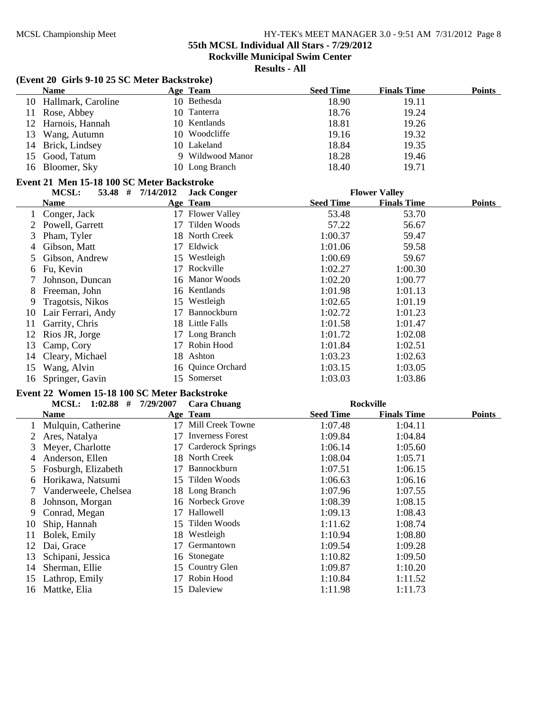**55th MCSL Individual All Stars - 7/29/2012**

**Rockville Municipal Swim Center**

**Results - All**

#### **(Event 20 Girls 9-10 25 SC Meter Backstroke)**

| <b>Name</b>           | Age Team         | <b>Seed Time</b> | <b>Finals Time</b> | <b>Points</b> |
|-----------------------|------------------|------------------|--------------------|---------------|
| 10 Hallmark, Caroline | 10 Bethesda      | 18.90            | 19.11              |               |
| 11 Rose, Abbey        | 10 Tanterra      | 18.76            | 19.24              |               |
| 12 Harnois, Hannah    | 10 Kentlands     | 18.81            | 19.26              |               |
| 13 Wang, Autumn       | 10 Woodcliffe    | 19.16            | 19.32              |               |
| 14 Brick, Lindsey     | 10 Lakeland      | 18.84            | 19.35              |               |
| 15 Good, Tatum        | 9 Wildwood Manor | 18.28            | 19.46              |               |
| 16 Bloomer, Sky       | 10 Long Branch   | 18.40            | 19.71              |               |

#### **Event 21 Men 15-18 100 SC Meter Backstroke**

|    | MCSL:<br>53.48 #   | 7/14/2012 | <b>Jack Conger</b>   |                  | <b>Flower Valley</b> |               |
|----|--------------------|-----------|----------------------|------------------|----------------------|---------------|
|    | Name               |           | Age Team             | <b>Seed Time</b> | <b>Finals Time</b>   | <b>Points</b> |
|    | Conger, Jack       | 17        | <b>Flower Valley</b> | 53.48            | 53.70                |               |
|    | Powell, Garrett    | 17        | Tilden Woods         | 57.22            | 56.67                |               |
| 3  | Pham, Tyler        | 18.       | North Creek          | 1:00.37          | 59.47                |               |
| 4  | Gibson, Matt       | 17        | Eldwick              | 1:01.06          | 59.58                |               |
| 5. | Gibson, Andrew     |           | 15 Westleigh         | 1:00.69          | 59.67                |               |
| 6  | Fu, Kevin          | 17        | Rockville            | 1:02.27          | 1:00.30              |               |
|    | Johnson, Duncan    |           | 16 Manor Woods       | 1:02.20          | 1:00.77              |               |
| 8  | Freeman, John      |           | 16 Kentlands         | 1:01.98          | 1:01.13              |               |
| 9  | Tragotsis, Nikos   |           | 15 Westleigh         | 1:02.65          | 1:01.19              |               |
| 10 | Lair Ferrari, Andy | 17        | <b>Bannockburn</b>   | 1:02.72          | 1:01.23              |               |
| 11 | Garrity, Chris     | 18.       | Little Falls         | 1:01.58          | 1:01.47              |               |
| 12 | Rios JR, Jorge     | 17        | Long Branch          | 1:01.72          | 1:02.08              |               |
| 13 | Camp, Cory         | 17        | Robin Hood           | 1:01.84          | 1:02.51              |               |
| 14 | Cleary, Michael    | 18        | Ashton               | 1:03.23          | 1:02.63              |               |
| 15 | Wang, Alvin        |           | 16 Quince Orchard    | 1:03.15          | 1:03.05              |               |
| 16 | Springer, Gavin    | 15.       | Somerset             | 1:03.03          | 1:03.86              |               |

# **Event 22 Women 15-18 100 SC Meter Backstroke**

|    | $1:02.88$ #<br><b>MCSL:</b> | 7/29/2007 | <b>Cara Chuang</b>       |                  | <b>Rockville</b>   |               |
|----|-----------------------------|-----------|--------------------------|------------------|--------------------|---------------|
|    | <b>Name</b>                 |           | Age Team                 | <b>Seed Time</b> | <b>Finals Time</b> | <b>Points</b> |
|    | Mulquin, Catherine          | 17        | Mill Creek Towne         | 1:07.48          | 1:04.11            |               |
|    | Ares, Natalya               | 17        | <b>Inverness Forest</b>  | 1:09.84          | 1:04.84            |               |
| 3  | Meyer, Charlotte            | 17        | <b>Carderock Springs</b> | 1:06.14          | 1:05.60            |               |
| 4  | Anderson, Ellen             |           | 18 North Creek           | 1:08.04          | 1:05.71            |               |
| 5  | Fosburgh, Elizabeth         | 17        | <b>Bannockburn</b>       | 1:07.51          | 1:06.15            |               |
| 6  | Horikawa, Natsumi           |           | 15 Tilden Woods          | 1:06.63          | 1:06.16            |               |
|    | Vanderweele, Chelsea        |           | 18 Long Branch           | 1:07.96          | 1:07.55            |               |
| 8  | Johnson, Morgan             |           | 16 Norbeck Grove         | 1:08.39          | 1:08.15            |               |
| 9  | Conrad, Megan               | 17        | Hallowell                | 1:09.13          | 1:08.43            |               |
| 10 | Ship, Hannah                |           | 15 Tilden Woods          | 1:11.62          | 1:08.74            |               |
| 11 | Bolek, Emily                |           | 18 Westleigh             | 1:10.94          | 1:08.80            |               |
| 12 | Dai, Grace                  | 17        | Germantown               | 1:09.54          | 1:09.28            |               |
| 13 | Schipani, Jessica           | 16        | Stonegate                | 1:10.82          | 1:09.50            |               |
| 14 | Sherman, Ellie              |           | 15 Country Glen          | 1:09.87          | 1:10.20            |               |
| 15 | Lathrop, Emily              |           | Robin Hood               | 1:10.84          | 1:11.52            |               |
| 16 | Mattke, Elia                |           | 15 Daleview              | 1:11.98          | 1:11.73            |               |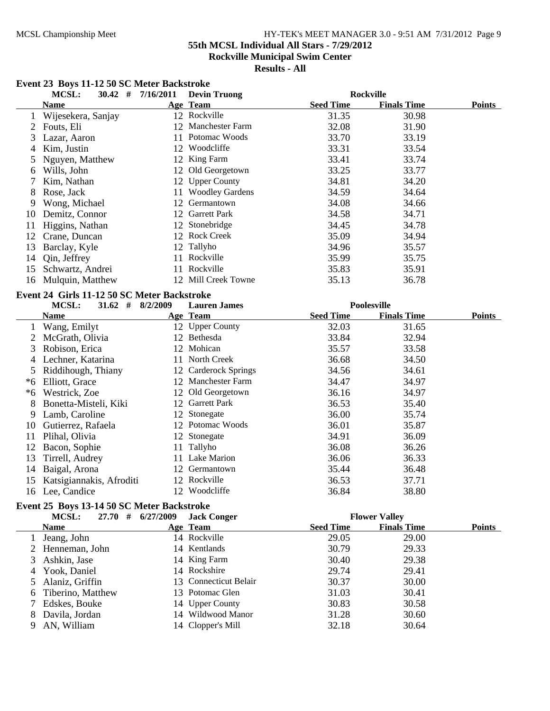# MCSL Championship Meet HY-TEK's MEET MANAGER 3.0 - 9:51 AM 7/31/2012 Page 9 **55th MCSL Individual All Stars - 7/29/2012 Rockville Municipal Swim Center**

# **Results - All**

|                | <b>MCSL:</b><br>$30.42$ # $7/16/2011$       |    | <b>Devin Truong</b>    |                  | <b>Rockville</b>   |               |
|----------------|---------------------------------------------|----|------------------------|------------------|--------------------|---------------|
|                | <b>Name</b>                                 |    | Age Team               | <b>Seed Time</b> | <b>Finals Time</b> | <b>Points</b> |
| 1              | Wijesekera, Sanjay                          |    | 12 Rockville           | 31.35            | 30.98              |               |
| 2              | Fouts, Eli                                  |    | 12 Manchester Farm     | 32.08            | 31.90              |               |
| 3              | Lazar, Aaron                                | 11 | Potomac Woods          | 33.70            | 33.19              |               |
| 4              | Kim, Justin                                 |    | 12 Woodcliffe          | 33.31            | 33.54              |               |
| 5              | Nguyen, Matthew                             |    | 12 King Farm           | 33.41            | 33.74              |               |
| 6              | Wills, John                                 |    | 12 Old Georgetown      | 33.25            | 33.77              |               |
| 7              | Kim, Nathan                                 |    | 12 Upper County        | 34.81            | 34.20              |               |
| 8              | Rose, Jack                                  | 11 | <b>Woodley Gardens</b> | 34.59            | 34.64              |               |
| 9              | Wong, Michael                               | 12 | Germantown             | 34.08            | 34.66              |               |
| 10             | Demitz, Connor                              |    | 12 Garrett Park        | 34.58            | 34.71              |               |
| 11             | Higgins, Nathan                             |    | 12 Stonebridge         | 34.45            | 34.78              |               |
| 12             | Crane, Duncan                               |    | 12 Rock Creek          | 35.09            | 34.94              |               |
| 13             | Barclay, Kyle                               |    | 12 Tallyho             | 34.96            | 35.57              |               |
| 14             | Qin, Jeffrey                                |    | 11 Rockville           | 35.99            | 35.75              |               |
| 15             | Schwartz, Andrei                            |    | 11 Rockville           | 35.83            | 35.91              |               |
| 16             | Mulquin, Matthew                            |    | 12 Mill Creek Towne    | 35.13            | 36.78              |               |
|                | Event 24 Girls 11-12 50 SC Meter Backstroke |    |                        |                  |                    |               |
|                | MCSL:<br>$31.62$ # $8/2/2009$               |    | <b>Lauren James</b>    |                  | <b>Poolesville</b> |               |
|                | <b>Name</b>                                 |    | Age Team               | <b>Seed Time</b> | <b>Finals Time</b> | <b>Points</b> |
|                | 1 Wang, Emilyt                              |    | 12 Upper County        | 32.03            | 31.65              |               |
| $\overline{2}$ | McGrath, Olivia                             |    | 12 Bethesda            | 33.84            | 32.94              |               |
| 3              | Robison, Erica                              |    | 12 Mohican             | 35.57            | 33.58              |               |
| 4              | Lechner, Katarina                           |    | 11 North Creek         | 36.68            | 34.50              |               |
| 5              | Riddihough, Thiany                          |    | 12 Carderock Springs   | 34.56            | 34.61              |               |
| $*6$           | Elliott, Grace                              |    | 12 Manchester Farm     | 34.47            | 34.97              |               |
|                | *6 Westrick, Zoe                            |    | 12 Old Georgetown      | 36.16            | 34.97              |               |
| 8              | Bonetta-Misteli, Kiki                       |    | 12 Garrett Park        | 36.53            | 35.40              |               |
| 9              | Lamb, Caroline                              |    | 12 Stonegate           | 36.00            | 35.74              |               |
| 10             | Gutierrez, Rafaela                          |    | 12 Potomac Woods       | 36.01            | 35.87              |               |
| 11             | Plihal, Olivia                              |    | 12 Stonegate           | 34.91            | 36.09              |               |
| 12             |                                             |    |                        |                  |                    |               |
|                | Bacon, Sophie                               |    | 11 Tallyho             | 36.08            | 36.26              |               |
| 13             | Tirrell, Audrey                             |    | 11 Lake Marion         | 36.06            | 36.33              |               |
| 14             | Baigal, Arona                               |    | 12 Germantown          | 35.44            | 36.48              |               |
| 15             | Katsigiannakis, Afroditi                    |    | 12 Rockville           | 36.53            | 37.71              |               |

#### **Event 23 Boys 11-12 50 SC Meter Backstroke**

# **Event 25 Boys 13-14 50 SC Meter Backstroke**

|   | 27.70#<br><b>MCSL:</b> | 6/27/2009 | <b>Jack Conger</b>    |                  | <b>Flower Valley</b> |               |
|---|------------------------|-----------|-----------------------|------------------|----------------------|---------------|
|   | <b>Name</b>            |           | Age Team              | <b>Seed Time</b> | <b>Finals Time</b>   | <b>Points</b> |
|   | Jeang, John            |           | 14 Rockville          | 29.05            | 29.00                |               |
|   | 2 Henneman, John       |           | 14 Kentlands          | 30.79            | 29.33                |               |
| 3 | Ashkin, Jase           |           | 14 King Farm          | 30.40            | 29.38                |               |
| 4 | Yook, Daniel           |           | 14 Rockshire          | 29.74            | 29.41                |               |
|   | Alaniz, Griffin        |           | 13 Connecticut Belair | 30.37            | 30.00                |               |
| 6 | Tiberino, Matthew      |           | 13 Potomac Glen       | 31.03            | 30.41                |               |
|   | Edskes, Bouke          |           | 14 Upper County       | 30.83            | 30.58                |               |
| 8 | Davila, Jordan         |           | 14 Wildwood Manor     | 31.28            | 30.60                |               |
| 9 | AN, William            |           | 14 Clopper's Mill     | 32.18            | 30.64                |               |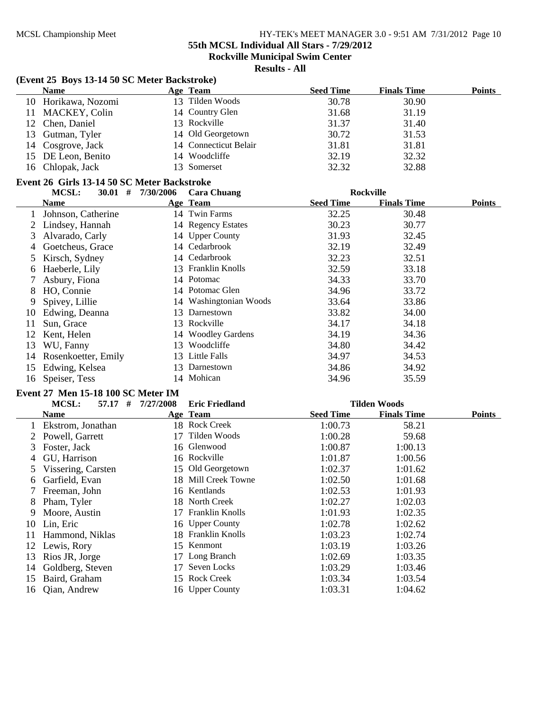**55th MCSL Individual All Stars - 7/29/2012**

**Rockville Municipal Swim Center**

**Results - All**

# **(Event 25 Boys 13-14 50 SC Meter Backstroke)**

| <b>Name</b>         | Age Team              | <b>Seed Time</b> | <b>Finals Time</b> | Points |
|---------------------|-----------------------|------------------|--------------------|--------|
| 10 Horikawa, Nozomi | 13 Tilden Woods       | 30.78            | 30.90              |        |
| 11 MACKEY, Colin    | 14 Country Glen       | 31.68            | 31.19              |        |
| 12 Chen, Daniel     | 13 Rockville          | 31.37            | 31.40              |        |
| 13 Gutman, Tyler    | 14 Old Georgetown     | 30.72            | 31.53              |        |
| 14 Cosgrove, Jack   | 14 Connecticut Belair | 31.81            | 31.81              |        |
| 15 DE Leon, Benito  | 14 Woodcliffe         | 32.19            | 32.32              |        |
| 16 Chlopak, Jack    | 13 Somerset           | 32.32            | 32.88              |        |

#### **Event 26 Girls 13-14 50 SC Meter Backstroke**

|             | #<br>MCSL:<br>30.01 | 7/30/2006 | <b>Cara Chuang</b>     | <b>Rockville</b> |                    |               |
|-------------|---------------------|-----------|------------------------|------------------|--------------------|---------------|
|             | Name                |           | Age Team               | <b>Seed Time</b> | <b>Finals Time</b> | <b>Points</b> |
|             | Johnson, Catherine  |           | 14 Twin Farms          | 32.25            | 30.48              |               |
|             | 2 Lindsey, Hannah   |           | 14 Regency Estates     | 30.23            | 30.77              |               |
| 3           | Alvarado, Carly     |           | 14 Upper County        | 31.93            | 32.45              |               |
| 4           | Goetcheus, Grace    |           | 14 Cedarbrook          | 32.19            | 32.49              |               |
|             | Kirsch, Sydney      |           | 14 Cedarbrook          | 32.23            | 32.51              |               |
| 6           | Haeberle, Lily      |           | 13 Franklin Knolls     | 32.59            | 33.18              |               |
| $7^{\circ}$ | Asbury, Fiona       |           | 14 Potomac             | 34.33            | 33.70              |               |
| 8           | HO, Connie          |           | 14 Potomac Glen        | 34.96            | 33.72              |               |
| 9           | Spivey, Lillie      |           | 14 Washingtonian Woods | 33.64            | 33.86              |               |
| 10          | Edwing, Deanna      | 13.       | Darnestown             | 33.82            | 34.00              |               |
| 11          | Sun, Grace          | 13.       | Rockville              | 34.17            | 34.18              |               |
| 12          | Kent, Helen         |           | 14 Woodley Gardens     | 34.19            | 34.36              |               |
| 13          | WU, Fanny           | 13.       | Woodcliffe             | 34.80            | 34.42              |               |
| 14          | Rosenkoetter, Emily | 13.       | Little Falls           | 34.97            | 34.53              |               |
| 15          | Edwing, Kelsea      | 13.       | Darnestown             | 34.86            | 34.92              |               |
| 16          | Speiser, Tess       |           | 14 Mohican             | 34.96            | 35.59              |               |

# **Event 27 Men 15-18 100 SC Meter IM**

|    | MCSL:<br>57.17<br># | 7/27/2008 | <b>Eric Friedland</b> |                  | <b>Tilden Woods</b> |               |
|----|---------------------|-----------|-----------------------|------------------|---------------------|---------------|
|    | Name                |           | Age Team              | <b>Seed Time</b> | <b>Finals Time</b>  | <b>Points</b> |
|    | Ekstrom, Jonathan   |           | 18 Rock Creek         | 1:00.73          | 58.21               |               |
|    | Powell, Garrett     | 17        | Tilden Woods          | 1:00.28          | 59.68               |               |
| 3  | Foster, Jack        |           | 16 Glenwood           | 1:00.87          | 1:00.13             |               |
| 4  | GU, Harrison        |           | 16 Rockville          | 1:01.87          | 1:00.56             |               |
| 5  | Vissering, Carsten  |           | 15 Old Georgetown     | 1:02.37          | 1:01.62             |               |
| 6  | Garfield, Evan      |           | 18 Mill Creek Towne   | 1:02.50          | 1:01.68             |               |
|    | Freeman, John       |           | 16 Kentlands          | 1:02.53          | 1:01.93             |               |
| 8  | Pham, Tyler         |           | 18 North Creek        | 1:02.27          | 1:02.03             |               |
| 9  | Moore, Austin       | 17        | Franklin Knolls       | 1:01.93          | 1:02.35             |               |
| 10 | Lin, Eric           |           | 16 Upper County       | 1:02.78          | 1:02.62             |               |
| 11 | Hammond, Niklas     |           | 18 Franklin Knolls    | 1:03.23          | 1:02.74             |               |
| 12 | Lewis, Rory         | 15.       | Kenmont               | 1:03.19          | 1:03.26             |               |
| 13 | Rios JR, Jorge      |           | 17 Long Branch        | 1:02.69          | 1:03.35             |               |
| 14 | Goldberg, Steven    | 17        | Seven Locks           | 1:03.29          | 1:03.46             |               |
| 15 | Baird, Graham       | 15.       | <b>Rock Creek</b>     | 1:03.34          | 1:03.54             |               |
| 16 | Qian, Andrew        |           | 16 Upper County       | 1:03.31          | 1:04.62             |               |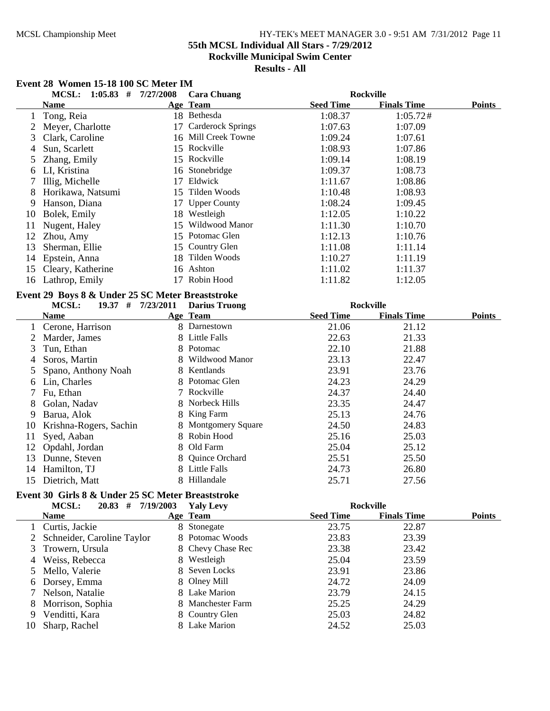## MCSL Championship Meet HY-TEK's MEET MANAGER 3.0 - 9:51 AM 7/31/2012 Page 11 **55th MCSL Individual All Stars - 7/29/2012**

**Rockville Municipal Swim Center**

**Results - All**

# **Event 28 Women 15-18 100 SC Meter IM**

|                | <b>MCSL:</b>                    | $1:05.83$ # $7/27/2008$                           | <b>Cara Chuang</b>       |                  | <b>Rockville</b>   |               |
|----------------|---------------------------------|---------------------------------------------------|--------------------------|------------------|--------------------|---------------|
|                | <b>Name</b>                     |                                                   | Age Team                 | <b>Seed Time</b> | <b>Finals Time</b> | <b>Points</b> |
| 1              | Tong, Reia                      |                                                   | 18 Bethesda              | 1:08.37          | 1:05.72#           |               |
| $\overline{c}$ | Meyer, Charlotte                |                                                   | 17 Carderock Springs     | 1:07.63          | 1:07.09            |               |
| 3              | Clark, Caroline                 |                                                   | 16 Mill Creek Towne      | 1:09.24          | 1:07.61            |               |
| 4              | Sun, Scarlett                   |                                                   | 15 Rockville             | 1:08.93          | 1:07.86            |               |
| 5              | Zhang, Emily                    |                                                   | 15 Rockville             | 1:09.14          | 1:08.19            |               |
| 6              | LI, Kristina                    |                                                   | 16 Stonebridge           | 1:09.37          | 1:08.73            |               |
| 7              | Illig, Michelle                 |                                                   | 17 Eldwick               | 1:11.67          | 1:08.86            |               |
| 8              | Horikawa, Natsumi               |                                                   | 15 Tilden Woods          | 1:10.48          | 1:08.93            |               |
| 9              | Hanson, Diana                   | 17                                                | <b>Upper County</b>      | 1:08.24          | 1:09.45            |               |
| 10             | Bolek, Emily                    |                                                   | 18 Westleigh             | 1:12.05          | 1:10.22            |               |
| 11             | Nugent, Haley                   |                                                   | 15 Wildwood Manor        | 1:11.30          | 1:10.70            |               |
| 12             | Zhou, Amy                       |                                                   | 15 Potomac Glen          | 1:12.13          | 1:10.76            |               |
| 13             | Sherman, Ellie                  |                                                   | 15 Country Glen          | 1:11.08          | 1:11.14            |               |
| 14             | Epstein, Anna                   |                                                   | 18 Tilden Woods          | 1:10.27          | 1:11.19            |               |
| 15             | Cleary, Katherine               |                                                   | 16 Ashton                | 1:11.02          | 1:11.37            |               |
|                | 16 Lathrop, Emily               |                                                   | 17 Robin Hood            | 1:11.82          | 1:12.05            |               |
|                |                                 | Event 29 Boys 8 & Under 25 SC Meter Breaststroke  |                          |                  |                    |               |
|                | <b>MCSL:</b>                    | 19.37 # 7/23/2011                                 | <b>Darius Truong</b>     |                  | <b>Rockville</b>   |               |
|                | <b>Name</b>                     |                                                   | Age Team                 | <b>Seed Time</b> | <b>Finals Time</b> | <b>Points</b> |
| 1              | Cerone, Harrison                |                                                   | 8 Darnestown             | 21.06            | 21.12              |               |
| 2              | Marder, James                   |                                                   | 8 Little Falls           | 22.63            | 21.33              |               |
| 3              | Tun, Ethan                      | 8                                                 | Potomac                  | 22.10            | 21.88              |               |
| 4              | Soros, Martin                   | 8                                                 | Wildwood Manor           | 23.13            | 22.47              |               |
| 5              | Spano, Anthony Noah             |                                                   | 8 Kentlands              | 23.91            | 23.76              |               |
| 6              | Lin, Charles                    |                                                   | Potomac Glen             | 24.23            | 24.29              |               |
| 7              | Fu, Ethan                       | 7                                                 | Rockville                | 24.37            | 24.40              |               |
| 8              | Golan, Nadav                    | 8                                                 | Norbeck Hills            | 23.35            | 24.47              |               |
| 9              | Barua, Alok                     |                                                   | King Farm                | 25.13            | 24.76              |               |
| 10             | Krishna-Rogers, Sachin          |                                                   | <b>Montgomery Square</b> | 24.50            | 24.83              |               |
| 11             | Syed, Aaban                     | 8                                                 | Robin Hood               | 25.16            | 25.03              |               |
| 12             |                                 |                                                   | 8 Old Farm               | 25.04            | 25.12              |               |
| 13             | Opdahl, Jordan<br>Dunne, Steven | 8                                                 | Quince Orchard           | 25.51            | 25.50              |               |
| 14             | Hamilton, TJ                    | 8                                                 | <b>Little Falls</b>      | 24.73            | 26.80              |               |
| 15             | Dietrich, Matt                  | 8                                                 | Hillandale               | 25.71            | 27.56              |               |
|                |                                 |                                                   |                          |                  |                    |               |
|                |                                 | Event 30 Girls 8 & Under 25 SC Meter Breaststroke |                          |                  |                    |               |
|                | MCSL:                           | $20.83$ # $7/19/2003$                             | <b>Yaly Levy</b>         |                  | <b>Rockville</b>   |               |
|                | <b>Name</b>                     |                                                   | Age Team                 | <b>Seed Time</b> | <b>Finals Time</b> | <b>Points</b> |
| 1              | Curtis, Jackie                  |                                                   | 8 Stonegate              | 23.75            | 22.87              |               |
| 2              | Schneider, Caroline Taylor      |                                                   | Potomac Woods            | 23.83            | 23.39              |               |
| 3              | Trowern, Ursula                 |                                                   | Chevy Chase Rec          | 23.38            | 23.42              |               |
| 4              | Weiss, Rebecca                  |                                                   | Westleigh                | 25.04            | 23.59              |               |
| 5              | Mello, Valerie                  | 8                                                 | Seven Locks              | 23.91            | 23.86              |               |
| 6              | Dorsey, Emma                    |                                                   | Olney Mill               | 24.72            | 24.09              |               |
| 7              | Nelson, Natalie                 | 8                                                 | Lake Marion              | 23.79            | 24.15              |               |
| 8              | Morrison, Sophia                | 8                                                 | Manchester Farm          | 25.25            | 24.29              |               |
| 9              | Venditti, Kara                  | 8                                                 | Country Glen             | 25.03            | 24.82              |               |
| 10             | Sharp, Rachel                   |                                                   | 8 Lake Marion            | 24.52            | 25.03              |               |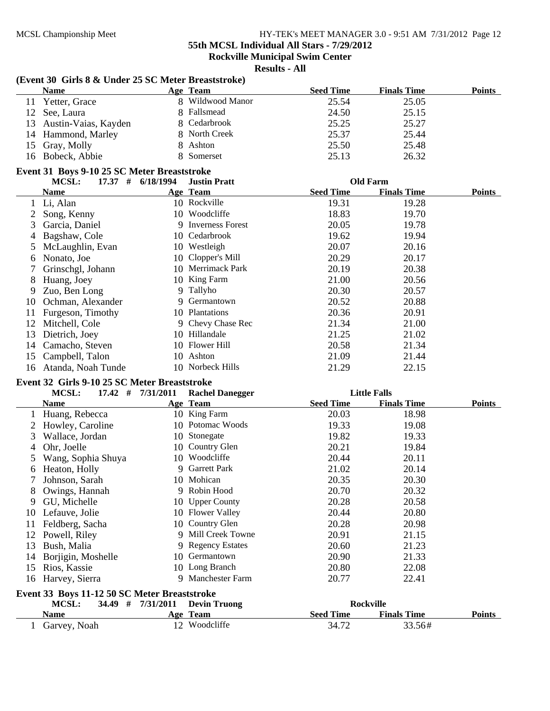**(Event 30 Girls 8 & Under 25 SC Meter Breaststroke)**

#### MCSL Championship Meet HY-TEK's MEET MANAGER 3.0 - 9:51 AM 7/31/2012 Page 12

**55th MCSL Individual All Stars - 7/29/2012**

**Rockville Municipal Swim Center**

|        | $\frac{1}{2}$<br><b>Name</b>                                |                       | Age Team               | <b>Seed Time</b> | <b>Finals Time</b>  | <b>Points</b> |
|--------|-------------------------------------------------------------|-----------------------|------------------------|------------------|---------------------|---------------|
|        | 11 Yetter, Grace                                            |                       | 8 Wildwood Manor       | 25.54            | 25.05               |               |
|        | 12 See, Laura                                               |                       | 8 Fallsmead            | 24.50            | 25.15               |               |
|        | 13 Austin-Vaias, Kayden                                     |                       | 8 Cedarbrook           | 25.25            | 25.27               |               |
|        | 14 Hammond, Marley                                          |                       | 8 North Creek          | 25.37            | 25.44               |               |
|        | 15 Gray, Molly                                              | 8                     | Ashton                 | 25.50            | 25.48               |               |
|        | 16 Bobeck, Abbie                                            |                       | 8 Somerset             | 25.13            | 26.32               |               |
|        |                                                             |                       |                        |                  |                     |               |
|        | Event 31 Boys 9-10 25 SC Meter Breaststroke<br><b>MCSL:</b> | 17.37 # 6/18/1994     | <b>Justin Pratt</b>    |                  | <b>Old Farm</b>     |               |
|        | <b>Name</b>                                                 |                       | Age Team               | <b>Seed Time</b> | <b>Finals Time</b>  | <b>Points</b> |
|        | 1 Li, Alan                                                  |                       | 10 Rockville           | 19.31            | 19.28               |               |
| 2      | Song, Kenny                                                 |                       | 10 Woodcliffe          | 18.83            | 19.70               |               |
| 3      | Garcia, Daniel                                              |                       | 9 Inverness Forest     | 20.05            | 19.78               |               |
| 4      | Bagshaw, Cole                                               |                       | 10 Cedarbrook          | 19.62            | 19.94               |               |
| 5      | McLaughlin, Evan                                            |                       | 10 Westleigh           | 20.07            | 20.16               |               |
|        | Nonato, Joe                                                 |                       | 10 Clopper's Mill      | 20.29            | 20.17               |               |
| 6<br>7 |                                                             |                       | 10 Merrimack Park      | 20.19            | 20.38               |               |
|        | Grinschgl, Johann                                           |                       | 10 King Farm           |                  |                     |               |
| 8      | Huang, Joey                                                 |                       | 9 Tallyho              | 21.00<br>20.30   | 20.56               |               |
| 9      | Zuo, Ben Long                                               |                       | Germantown             |                  | 20.57               |               |
| 10     | Ochman, Alexander                                           | 9                     |                        | 20.52            | 20.88               |               |
| 11     | Furgeson, Timothy                                           |                       | 10 Plantations         | 20.36            | 20.91               |               |
|        | 12 Mitchell, Cole                                           |                       | 9 Chevy Chase Rec      | 21.34            | 21.00               |               |
| 13     | Dietrich, Joey                                              |                       | 10 Hillandale          | 21.25            | 21.02               |               |
| 14     | Camacho, Steven                                             |                       | 10 Flower Hill         | 20.58            | 21.34               |               |
| 15     | Campbell, Talon                                             |                       | 10 Ashton              | 21.09            | 21.44               |               |
| 16     | Atanda, Noah Tunde                                          |                       | 10 Norbeck Hills       | 21.29            | 22.15               |               |
|        | Event 32 Girls 9-10 25 SC Meter Breaststroke                |                       |                        |                  |                     |               |
|        | MCSL:                                                       | $17.42$ # $7/31/2011$ | <b>Rachel Danegger</b> |                  | <b>Little Falls</b> |               |
|        | <b>Name</b>                                                 |                       | Age Team               | <b>Seed Time</b> | <b>Finals Time</b>  | <b>Points</b> |
|        | 1 Huang, Rebecca                                            |                       | 10 King Farm           | 20.03            | 18.98               |               |
|        | 2 Howley, Caroline                                          |                       | 10 Potomac Woods       | 19.33            | 19.08               |               |
| 3      | Wallace, Jordan                                             |                       | 10 Stonegate           | 19.82            | 19.33               |               |
| 4      | Ohr, Joelle                                                 |                       | 10 Country Glen        | 20.21            | 19.84               |               |
| 5      | Wang, Sophia Shuya                                          |                       | 10 Woodcliffe          | 20.44            | 20.11               |               |
| 6      | Heaton, Holly                                               |                       | 9 Garrett Park         | 21.02            | 20.14               |               |
| 7      | Johnson, Sarah                                              |                       | 10 Mohican             | 20.35            | 20.30               |               |
|        | Owings, Hannah                                              |                       | 9 Robin Hood           | 20.70            | 20.32               |               |
| 9      | GU, Michelle                                                |                       | 10 Upper County        | 20.28            | 20.58               |               |
| 10     | Lefauve, Jolie                                              |                       | 10 Flower Valley       | 20.44            | 20.80               |               |
| 11     | Feldberg, Sacha                                             |                       | 10 Country Glen        | 20.28            | 20.98               |               |
| 12     | Powell, Riley                                               |                       | 9 Mill Creek Towne     | 20.91            | 21.15               |               |
| 13     | Bush, Malia                                                 | 9                     | <b>Regency Estates</b> | 20.60            | 21.23               |               |
| 14     | Borjigin, Moshelle                                          | 10                    | Germantown             | 20.90            | 21.33               |               |
| 15     | Rios, Kassie                                                |                       | 10 Long Branch         | 20.80            | 22.08               |               |
| 16     | Harvey, Sierra                                              |                       | 9 Manchester Farm      | 20.77            | 22.41               |               |
|        | Event 33 Boys 11-12 50 SC Meter Breaststroke                |                       |                        |                  |                     |               |
|        | MCSL:                                                       | 34.49 # 7/31/2011     | <b>Devin Truong</b>    |                  | <b>Rockville</b>    |               |
|        | <b>Name</b>                                                 |                       | Age Team               | <b>Seed Time</b> | <b>Finals Time</b>  | <b>Points</b> |
|        | 1 Garvey, Noah                                              |                       | 12 Woodcliffe          | 34.72            | 33.56#              |               |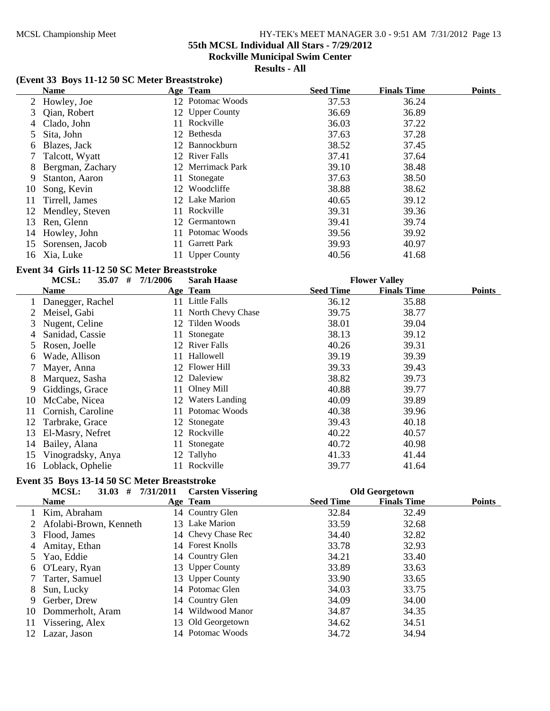**55th MCSL Individual All Stars - 7/29/2012**

**Rockville Municipal Swim Center**

## **Results - All**

### **(Event 33 Boys 11-12 50 SC Meter Breaststroke)**

|    | <b>Name</b>      |     | Age Team            | <b>Seed Time</b> | <b>Finals Time</b> | <b>Points</b> |
|----|------------------|-----|---------------------|------------------|--------------------|---------------|
|    | 2 Howley, Joe    |     | 12 Potomac Woods    | 37.53            | 36.24              |               |
| 3  | Qian, Robert     |     | 12 Upper County     | 36.69            | 36.89              |               |
| 4  | Clado, John      | 11. | Rockville           | 36.03            | 37.22              |               |
| 5  | Sita, John       |     | 12 Bethesda         | 37.63            | 37.28              |               |
| 6  | Blazes, Jack     |     | 12 Bannockburn      | 38.52            | 37.45              |               |
|    | 7 Talcott, Wyatt |     | 12 River Falls      | 37.41            | 37.64              |               |
| 8  | Bergman, Zachary |     | 12 Merrimack Park   | 39.10            | 38.48              |               |
| 9  | Stanton, Aaron   | 11- | Stonegate           | 37.63            | 38.50              |               |
| 10 | Song, Kevin      |     | 12 Woodcliffe       | 38.88            | 38.62              |               |
| 11 | Tirrell, James   |     | 12 Lake Marion      | 40.65            | 39.12              |               |
| 12 | Mendley, Steven  | 11. | Rockville           | 39.31            | 39.36              |               |
| 13 | Ren, Glenn       |     | 12 Germantown       | 39.41            | 39.74              |               |
| 14 | Howley, John     |     | 11 Potomac Woods    | 39.56            | 39.92              |               |
| 15 | Sorensen, Jacob  | 11. | <b>Garrett Park</b> | 39.93            | 40.97              |               |
| 16 | Xia, Luke        |     | 11 Upper County     | 40.56            | 41.68              |               |

#### **Event 34 Girls 11-12 50 SC Meter Breaststroke**

|    | MCSL:<br>35.07<br># | 7/1/2006 | <b>Sarah Haase</b> |                  | <b>Flower Valley</b> |               |
|----|---------------------|----------|--------------------|------------------|----------------------|---------------|
|    | <b>Name</b>         |          | Age Team           | <b>Seed Time</b> | <b>Finals Time</b>   | <b>Points</b> |
|    | Danegger, Rachel    | 11       | Little Falls       | 36.12            | 35.88                |               |
|    | Meisel, Gabi        | 11       | North Chevy Chase  | 39.75            | 38.77                |               |
| 3  | Nugent, Celine      | 12       | Tilden Woods       | 38.01            | 39.04                |               |
| 4  | Sanidad, Cassie     | 11       | Stonegate          | 38.13            | 39.12                |               |
| 5  | Rosen, Joelle       | 12.      | River Falls        | 40.26            | 39.31                |               |
| 6  | Wade, Allison       |          | Hallowell          | 39.19            | 39.39                |               |
|    | Mayer, Anna         |          | 12 Flower Hill     | 39.33            | 39.43                |               |
| 8  | Marquez, Sasha      |          | 12 Daleview        | 38.82            | 39.73                |               |
| 9  | Giddings, Grace     | 11       | Olney Mill         | 40.88            | 39.77                |               |
| 10 | McCabe, Nicea       |          | 12 Waters Landing  | 40.09            | 39.89                |               |
| 11 | Cornish, Caroline   | 11       | Potomac Woods      | 40.38            | 39.96                |               |
| 12 | Tarbrake, Grace     | 12       | Stonegate          | 39.43            | 40.18                |               |
| 13 | El-Masry, Nefret    | 12       | Rockville          | 40.22            | 40.57                |               |
| 14 | Bailey, Alana       | 11       | Stonegate          | 40.72            | 40.98                |               |
| 15 | Vinogradsky, Anya   | 12       | Tallyho            | 41.33            | 41.44                |               |
| 16 | Loblack, Ophelie    |          | Rockville          | 39.77            | 41.64                |               |

# **Event 35 Boys 13-14 50 SC Meter Breaststroke**

|    | <b>MCSL:</b><br>31.03<br># | 7/31/2011<br><b>Carsten Vissering</b> |                  | <b>Old Georgetown</b> |               |
|----|----------------------------|---------------------------------------|------------------|-----------------------|---------------|
|    | <b>Name</b>                | Age Team                              | <b>Seed Time</b> | <b>Finals Time</b>    | <b>Points</b> |
|    | Kim, Abraham               | 14 Country Glen                       | 32.84            | 32.49                 |               |
|    | Afolabi-Brown, Kenneth     | 13 Lake Marion                        | 33.59            | 32.68                 |               |
|    | Flood, James               | 14 Chevy Chase Rec                    | 34.40            | 32.82                 |               |
| 4  | Amitay, Ethan              | 14 Forest Knolls                      | 33.78            | 32.93                 |               |
|    | Yao, Eddie                 | 14 Country Glen                       | 34.21            | 33.40                 |               |
| 6  | O'Leary, Ryan              | 13 Upper County                       | 33.89            | 33.63                 |               |
|    | Tarter, Samuel             | 13 Upper County                       | 33.90            | 33.65                 |               |
| 8  | Sun, Lucky                 | 14 Potomac Glen                       | 34.03            | 33.75                 |               |
| 9  | Gerber, Drew               | 14 Country Glen                       | 34.09            | 34.00                 |               |
| 10 | Dommerholt, Aram           | 14 Wildwood Manor                     | 34.87            | 34.35                 |               |
| 11 | Vissering, Alex            | 13 Old Georgetown                     | 34.62            | 34.51                 |               |
| 12 | Lazar, Jason               | 14 Potomac Woods                      | 34.72            | 34.94                 |               |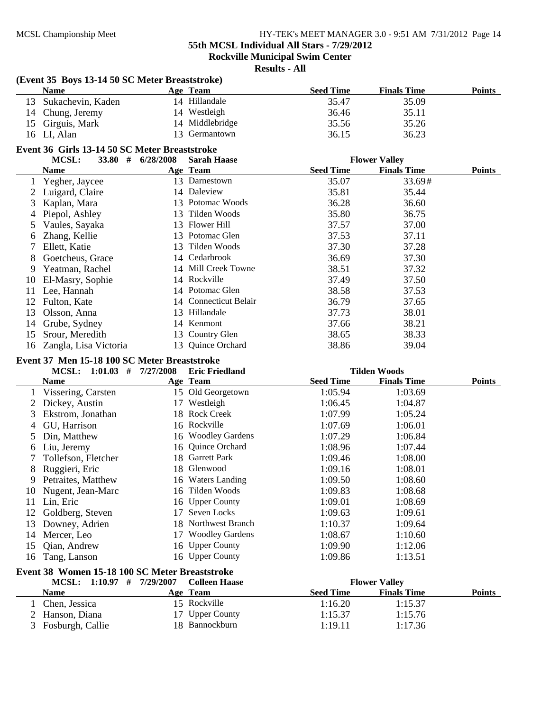# **55th MCSL Individual All Stars - 7/29/2012**

**Rockville Municipal Swim Center**

|    | (Event 35 Boys 13-14 50 SC Meter Breaststroke)<br><b>Name</b> |           |                                        | <b>Seed Time</b>   | <b>Finals Time</b>   | <b>Points</b> |
|----|---------------------------------------------------------------|-----------|----------------------------------------|--------------------|----------------------|---------------|
| 13 | Sukachevin, Kaden                                             |           | Age Team<br>14 Hillandale              | 35.47              | 35.09                |               |
|    |                                                               |           |                                        |                    |                      |               |
| 14 | Chung, Jeremy                                                 |           | 14 Westleigh                           | 36.46              | 35.11                |               |
| 15 | Girguis, Mark                                                 |           | 14 Middlebridge                        | 35.56              | 35.26                |               |
| 16 | LI, Alan                                                      |           | 13 Germantown                          | 36.15              | 36.23                |               |
|    | Event 36 Girls 13-14 50 SC Meter Breaststroke                 |           |                                        |                    |                      |               |
|    | MCSL:<br>33.80 $#$                                            | 6/28/2008 | <b>Sarah Haase</b>                     |                    | <b>Flower Valley</b> |               |
|    | <b>Name</b>                                                   |           | Age Team                               | <b>Seed Time</b>   | <b>Finals Time</b>   | <b>Points</b> |
| 1  | Yegher, Jaycee                                                |           | 13 Darnestown                          | 35.07              | 33.69#               |               |
| 2  | Luigard, Claire                                               |           | 14 Daleview                            | 35.81              | 35.44                |               |
| 3  | Kaplan, Mara                                                  |           | 13 Potomac Woods                       | 36.28              | 36.60                |               |
| 4  | Piepol, Ashley                                                | 13        | Tilden Woods                           | 35.80              | 36.75                |               |
| 5  | Vaules, Sayaka                                                | 13        | <b>Flower Hill</b>                     | 37.57              | 37.00                |               |
| 6  | Zhang, Kellie                                                 |           | 13 Potomac Glen                        | 37.53              | 37.11                |               |
| 7  | Ellett, Katie                                                 | 13        | Tilden Woods                           | 37.30              | 37.28                |               |
| 8  | Goetcheus, Grace                                              |           | 14 Cedarbrook                          | 36.69              | 37.30                |               |
| 9  | Yeatman, Rachel                                               |           | 14 Mill Creek Towne                    | 38.51              | 37.32                |               |
| 10 | El-Masry, Sophie                                              |           | 14 Rockville                           | 37.49              | 37.50                |               |
| 11 | Lee, Hannah                                                   |           | 14 Potomac Glen                        | 38.58              | 37.53                |               |
| 12 | Fulton, Kate                                                  |           | 14 Connecticut Belair                  | 36.79              | 37.65                |               |
| 13 | Olsson, Anna                                                  |           | 13 Hillandale                          | 37.73              | 38.01                |               |
| 14 | Grube, Sydney                                                 |           | 14 Kenmont                             | 37.66              | 38.21                |               |
| 15 | Srour, Meredith                                               |           | 13 Country Glen                        | 38.65              | 38.33                |               |
| 16 | Zangla, Lisa Victoria                                         |           | 13 Quince Orchard                      | 38.86              | 39.04                |               |
|    |                                                               |           |                                        |                    |                      |               |
|    | Event 37 Men 15-18 100 SC Meter Breaststroke                  |           |                                        |                    |                      |               |
|    | MCSL: $1:01.03$ # $7/27/2008$                                 |           | <b>Eric Friedland</b>                  |                    | <b>Tilden Woods</b>  |               |
|    | <b>Name</b>                                                   |           | Age Team                               | <b>Seed Time</b>   | <b>Finals Time</b>   | <b>Points</b> |
|    | Vissering, Carsten                                            |           | 15 Old Georgetown                      | 1:05.94            | 1:03.69              |               |
| 2  | Dickey, Austin                                                |           | 17 Westleigh                           | 1:06.45            | 1:04.87              |               |
| 3  | Ekstrom, Jonathan                                             |           | 18 Rock Creek                          | 1:07.99            | 1:05.24              |               |
| 4  | GU, Harrison                                                  |           | 16 Rockville                           | 1:07.69            | 1:06.01              |               |
| 5  | Din, Matthew                                                  |           | 16 Woodley Gardens                     | 1:07.29            | 1:06.84              |               |
| 6  | Liu, Jeremy                                                   |           |                                        |                    |                      |               |
|    |                                                               |           | 16 Quince Orchard                      | 1:08.96            | 1:07.44              |               |
| 7  | Tollefson, Fletcher                                           |           | 18 Garrett Park                        | 1:09.46            | 1:08.00              |               |
| 8  | Ruggieri, Eric                                                |           | 18 Glenwood                            | 1:09.16            | 1:08.01              |               |
| 9  | Petraites, Matthew                                            |           | 16 Waters Landing                      | 1:09.50            | 1:08.60              |               |
| 10 | Nugent, Jean-Marc                                             |           | 16 Tilden Woods                        | 1:09.83            | 1:08.68              |               |
| 11 | Lin, Eric                                                     |           | 16 Upper County                        | 1:09.01            | 1:08.69              |               |
| 12 | Goldberg, Steven                                              | 17        | Seven Locks                            | 1:09.63            | 1:09.61              |               |
| 13 |                                                               |           | 18 Northwest Branch                    |                    | 1:09.64              |               |
| 14 | Downey, Adrien                                                | 17        | <b>Woodley Gardens</b>                 | 1:10.37<br>1:08.67 |                      |               |
|    | Mercer, Leo                                                   |           |                                        |                    | 1:10.60              |               |
| 15 | Qian, Andrew                                                  | 16        | <b>Upper County</b><br>16 Upper County | 1:09.90            | 1:12.06<br>1:13.51   |               |
| 16 | Tang, Lanson                                                  |           |                                        | 1:09.86            |                      |               |
|    | Event 38 Women 15-18 100 SC Meter Breaststroke                |           |                                        |                    |                      |               |
|    | MCSL: 1:10.97 # 7/29/2007                                     |           | <b>Colleen Haase</b>                   |                    | <b>Flower Valley</b> |               |
|    | <b>Name</b>                                                   |           | Age Team                               | <b>Seed Time</b>   | <b>Finals Time</b>   | <b>Points</b> |
| 1  | Chen, Jessica                                                 |           | 15 Rockville                           | 1:16.20            | 1:15.37              |               |
|    | 2 Hanson, Diana<br>3 Fosburgh, Callie                         |           | 17 Upper County<br>18 Bannockburn      | 1:15.37<br>1:19.11 | 1:15.76<br>1:17.36   |               |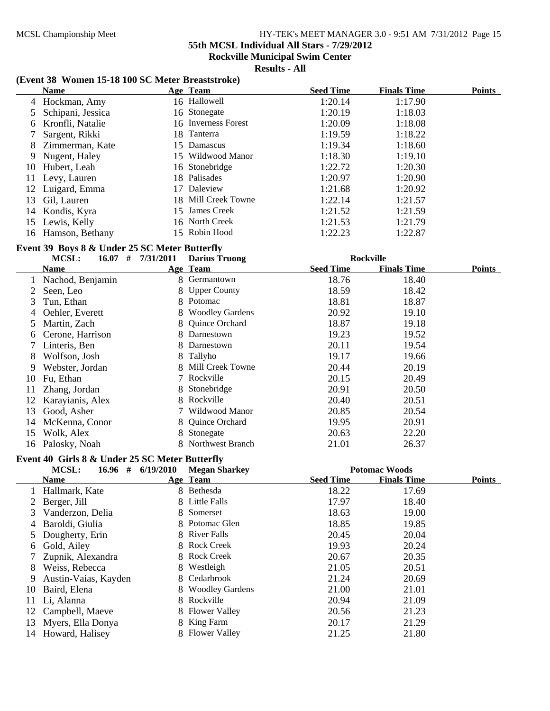**55th MCSL Individual All Stars - 7/29/2012**

**Rockville Municipal Swim Center**

**Results - All**

#### **(Event 38 Women 15-18 100 SC Meter Breaststroke)**

|    | <b>Name</b>         |    | Age Team            | <b>Seed Time</b> | <b>Finals Time</b> | <b>Points</b> |
|----|---------------------|----|---------------------|------------------|--------------------|---------------|
|    | 4 Hockman, Amy      |    | 16 Hallowell        | 1:20.14          | 1:17.90            |               |
|    | 5 Schipani, Jessica |    | 16 Stonegate        | 1:20.19          | 1:18.03            |               |
|    | 6 Kronfli, Natalie  |    | 16 Inverness Forest | 1:20.09          | 1:18.08            |               |
|    | Sargent, Rikki      |    | 18 Tanterra         | 1:19.59          | 1:18.22            |               |
| 8  | Zimmerman, Kate     |    | 15 Damascus         | 1:19.34          | 1:18.60            |               |
| 9. | Nugent, Haley       |    | 15 Wildwood Manor   | 1:18.30          | 1:19.10            |               |
| 10 | Hubert, Leah        |    | 16 Stonebridge      | 1:22.72          | 1:20.30            |               |
| 11 | Levy, Lauren        |    | 18 Palisades        | 1:20.97          | 1:20.90            |               |
|    | 12 Luigard, Emma    | 17 | Daleview            | 1:21.68          | 1:20.92            |               |
| 13 | Gil, Lauren         |    | 18 Mill Creek Towne | 1:22.14          | 1:21.57            |               |
| 14 | Kondis, Kyra        |    | 15 James Creek      | 1:21.52          | 1:21.59            |               |
| 15 | Lewis, Kelly        |    | 16 North Creek      | 1:21.53          | 1:21.79            |               |
| 16 | Hamson, Bethany     |    | 15 Robin Hood       | 1:22.23          | 1:22.87            |               |

#### **Event 39 Boys 8 & Under 25 SC Meter Butterfly**

|    | #<br>MCSL:<br>16.07 | 7/31/2011 | <b>Darius Truong</b>   |                  | <b>Rockville</b>   |               |
|----|---------------------|-----------|------------------------|------------------|--------------------|---------------|
|    | Name                |           | Age Team               | <b>Seed Time</b> | <b>Finals Time</b> | <b>Points</b> |
|    | Nachod, Benjamin    |           | 8 Germantown           | 18.76            | 18.40              |               |
|    | Seen, Leo           |           | 8 Upper County         | 18.59            | 18.42              |               |
| 3  | Tun, Ethan          |           | 8 Potomac              | 18.81            | 18.87              |               |
| 4  | Oehler, Everett     | 8.        | <b>Woodley Gardens</b> | 20.92            | 19.10              |               |
| 5. | Martin, Zach        |           | 8 Quince Orchard       | 18.87            | 19.18              |               |
| 6  | Cerone, Harrison    |           | 8 Darnestown           | 19.23            | 19.52              |               |
|    | Linteris, Ben       |           | 8 Darnestown           | 20.11            | 19.54              |               |
| 8  | Wolfson, Josh       |           | 8 Tallyho              | 19.17            | 19.66              |               |
| 9  | Webster, Jordan     |           | 8 Mill Creek Towne     | 20.44            | 20.19              |               |
| 10 | Fu, Ethan           |           | 7 Rockville            | 20.15            | 20.49              |               |
| 11 | Zhang, Jordan       |           | 8 Stonebridge          | 20.91            | 20.50              |               |
| 12 | Karayianis, Alex    |           | 8 Rockville            | 20.40            | 20.51              |               |
| 13 | Good, Asher         |           | Wildwood Manor         | 20.85            | 20.54              |               |
| 14 | McKenna, Conor      |           | 8 Quince Orchard       | 19.95            | 20.91              |               |
| 15 | Wolk, Alex          |           | 8 Stonegate            | 20.63            | 22.20              |               |
|    | 16 Palosky, Noah    |           | 8 Northwest Branch     | 21.01            | 26.37              |               |

#### **Event 40 Girls 8 & Under 25 SC Meter Butterfly**

|    | 16.96#<br><b>MCSL:</b> | 6/19/2010 | <b>Megan Sharkey</b> |                  | <b>Potomac Woods</b> |               |
|----|------------------------|-----------|----------------------|------------------|----------------------|---------------|
|    | <b>Name</b>            |           | <u>Age Team</u>      | <b>Seed Time</b> | <b>Finals Time</b>   | <b>Points</b> |
|    | Hallmark, Kate         |           | 8 Bethesda           | 18.22            | 17.69                |               |
|    | Berger, Jill           |           | 8 Little Falls       | 17.97            | 18.40                |               |
| 3  | Vanderzon, Delia       |           | 8 Somerset           | 18.63            | 19.00                |               |
| 4  | Baroldi, Giulia        |           | 8 Potomac Glen       | 18.85            | 19.85                |               |
|    | Dougherty, Erin        |           | 8 River Falls        | 20.45            | 20.04                |               |
| 6  | Gold, Ailey            |           | 8 Rock Creek         | 19.93            | 20.24                |               |
|    | Zupnik, Alexandra      |           | 8 Rock Creek         | 20.67            | 20.35                |               |
| 8  | Weiss, Rebecca         |           | 8 Westleigh          | 21.05            | 20.51                |               |
| 9  | Austin-Vaias, Kayden   |           | 8 Cedarbrook         | 21.24            | 20.69                |               |
| 10 | Baird, Elena           |           | 8 Woodley Gardens    | 21.00            | 21.01                |               |
| 11 | Li, Alanna             |           | 8 Rockville          | 20.94            | 21.09                |               |
|    | 12 Campbell, Maeve     |           | 8 Flower Valley      | 20.56            | 21.23                |               |
| 13 | Myers, Ella Donya      |           | 8 King Farm          | 20.17            | 21.29                |               |
|    | 14 Howard, Halisey     |           | 8 Flower Valley      | 21.25            | 21.80                |               |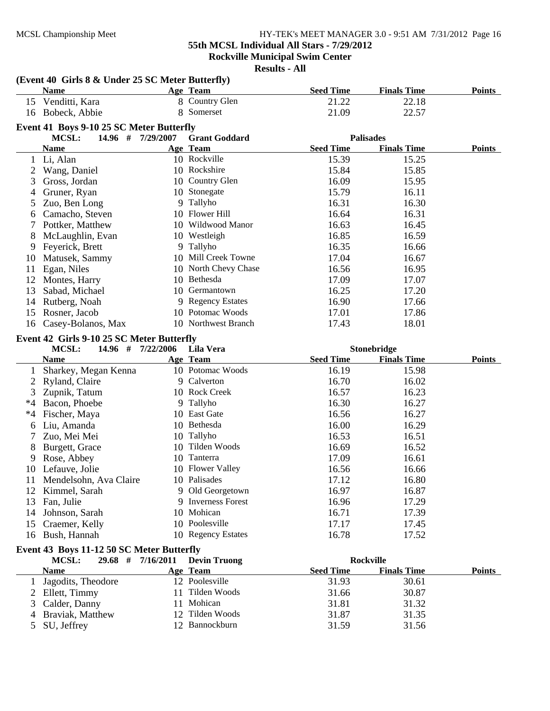**(Event 40 Girls 8 & Under 25 SC Meter Butterfly)**

#### MCSL Championship Meet HY-TEK's MEET MANAGER 3.0 - 9:51 AM 7/31/2012 Page 16

**55th MCSL Individual All Stars - 7/29/2012**

**Rockville Municipal Swim Center**

|      | <b>Name</b>                               | Age Team             | <b>Seed Time</b> | <b>Finals Time</b> | <b>Points</b> |
|------|-------------------------------------------|----------------------|------------------|--------------------|---------------|
|      | 15 Venditti, Kara                         | 8 Country Glen       | 21.22            | 22.18              |               |
|      | 16 Bobeck, Abbie                          | 8 Somerset           | 21.09            | 22.57              |               |
|      | Event 41 Boys 9-10 25 SC Meter Butterfly  |                      |                  |                    |               |
|      | <b>MCSL:</b><br>$14.96$ # $7/29/2007$     | <b>Grant Goddard</b> |                  | <b>Palisades</b>   |               |
|      | <b>Name</b>                               | Age Team             | <b>Seed Time</b> | <b>Finals Time</b> | <b>Points</b> |
| 1    | Li, Alan                                  | 10 Rockville         | 15.39            | 15.25              |               |
| 2    | Wang, Daniel                              | 10 Rockshire         | 15.84            | 15.85              |               |
| 3    | Gross, Jordan                             | 10 Country Glen      | 16.09            | 15.95              |               |
|      | Gruner, Ryan                              | 10 Stonegate         | 15.79            | 16.11              |               |
| 4    |                                           | 9 Tallyho            | 16.31            | 16.30              |               |
| 5    | Zuo, Ben Long<br>Camacho, Steven          | 10 Flower Hill       | 16.64            | 16.31              |               |
| 6    |                                           | 10 Wildwood Manor    |                  |                    |               |
| 7    | Pottker, Matthew                          |                      | 16.63            | 16.45              |               |
| 8    | McLaughlin, Evan                          | 10 Westleigh         | 16.85            | 16.59              |               |
| 9    | Feyerick, Brett                           | 9 Tallyho            | 16.35            | 16.66              |               |
| 10   | Matusek, Sammy                            | 10 Mill Creek Towne  | 17.04            | 16.67              |               |
| 11   | Egan, Niles                               | 10 North Chevy Chase | 16.56            | 16.95              |               |
| 12   | Montes, Harry                             | 10 Bethesda          | 17.09            | 17.07              |               |
| 13   | Sabad, Michael                            | 10 Germantown        | 16.25            | 17.20              |               |
| 14   | Rutberg, Noah                             | 9 Regency Estates    | 16.90            | 17.66              |               |
| 15   | Rosner, Jacob                             | 10 Potomac Woods     | 17.01            | 17.86              |               |
| 16   | Casey-Bolanos, Max                        | 10 Northwest Branch  | 17.43            | 18.01              |               |
|      | Event 42 Girls 9-10 25 SC Meter Butterfly |                      |                  |                    |               |
|      | <b>MCSL:</b><br>14.96 # 7/22/2006         | Lila Vera            |                  | Stonebridge        |               |
|      | <b>Name</b>                               | Age Team             | <b>Seed Time</b> | <b>Finals Time</b> | <b>Points</b> |
| 1    | Sharkey, Megan Kenna                      | 10 Potomac Woods     | 16.19            | 15.98              |               |
| 2    | Ryland, Claire                            | 9 Calverton          | 16.70            | 16.02              |               |
| 3    | Zupnik, Tatum                             | 10 Rock Creek        | 16.57            | 16.23              |               |
| $*4$ | Bacon, Phoebe                             | 9 Tallyho            | 16.30            | 16.27              |               |
| $*4$ | Fischer, Maya                             | 10 East Gate         | 16.56            | 16.27              |               |
| 6    | Liu, Amanda                               | 10 Bethesda          | 16.00            | 16.29              |               |
| 7    | Zuo, Mei Mei                              | 10 Tallyho           | 16.53            | 16.51              |               |
| 8    | Burgett, Grace                            | 10 Tilden Woods      | 16.69            | 16.52              |               |
| 9    | Rose, Abbey                               | 10 Tanterra          | 17.09            | 16.61              |               |
| 10   | Lefauve, Jolie                            | 10 Flower Valley     | 16.56            | 16.66              |               |
| 11   | Mendelsohn, Ava Claire                    | 10 Palisades         | 17.12            | 16.80              |               |
|      | 12 Kimmel, Sarah                          | 9 Old Georgetown     | 16.97            | 16.87              |               |
| 13   | Fan, Julie                                | 9 Inverness Forest   | 16.96            | 17.29              |               |
| 14   | Johnson, Sarah                            | 10 Mohican           | 16.71            | 17.39              |               |
| 15   | Craemer, Kelly                            | 10 Poolesville       | 17.17            | 17.45              |               |
| 16   | Bush, Hannah                              | 10 Regency Estates   | 16.78            | 17.52              |               |
|      | Event 43 Boys 11-12 50 SC Meter Butterfly |                      |                  |                    |               |
|      | MCSL:<br>29.68 # 7/16/2011                | <b>Devin Truong</b>  |                  | Rockville          |               |
|      | <b>Name</b>                               | Age Team             | <b>Seed Time</b> | <b>Finals Time</b> | <b>Points</b> |
| 1    | Jagodits, Theodore                        | 12 Poolesville       | 31.93            | 30.61              |               |
|      |                                           | 11 Tilden Woods      | 31.66            | 30.87              |               |
| 2    | Ellett, Timmy                             | 11 Mohican           |                  |                    |               |
| 3    | Calder, Danny                             | 12 Tilden Woods      | 31.81            | 31.32              |               |
| 4    | Braviak, Matthew                          |                      | 31.87            | 31.35              |               |
| 5    | SU, Jeffrey                               | 12 Bannockburn       | 31.59            | 31.56              |               |
|      |                                           |                      |                  |                    |               |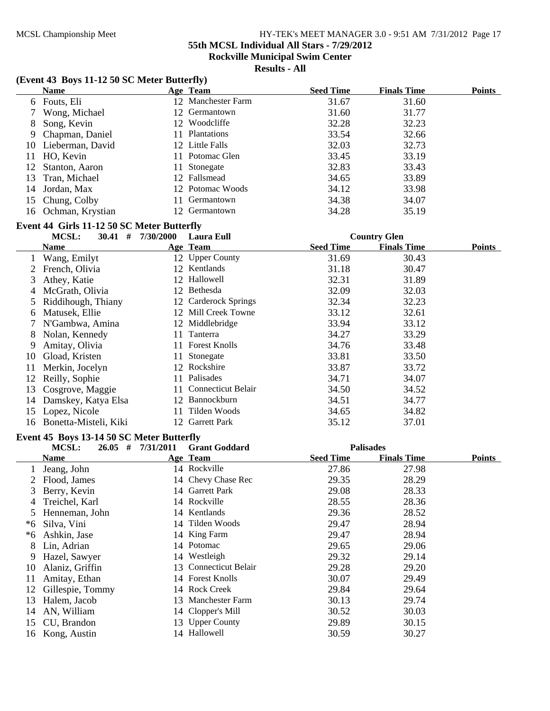**55th MCSL Individual All Stars - 7/29/2012**

**Rockville Municipal Swim Center**

**Results - All**

## **(Event 43 Boys 11-12 50 SC Meter Butterfly)**

|    | <b>Name</b>         |     | Age Team           | <b>Seed Time</b> | <b>Finals Time</b> | <b>Points</b> |
|----|---------------------|-----|--------------------|------------------|--------------------|---------------|
|    | 6 Fouts, Eli        |     | 12 Manchester Farm | 31.67            | 31.60              |               |
|    | Wong, Michael       |     | 12 Germantown      | 31.60            | 31.77              |               |
| 8  | Song, Kevin         |     | 12 Woodcliffe      | 32.28            | 32.23              |               |
| 9. | Chapman, Daniel     | 11. | Plantations        | 33.54            | 32.66              |               |
|    | 10 Lieberman, David |     | 12 Little Falls    | 32.03            | 32.73              |               |
|    | 11 HO, Kevin        |     | 11 Potomac Glen    | 33.45            | 33.19              |               |
|    | 12 Stanton, Aaron   |     | 11 Stonegate       | 32.83            | 33.43              |               |
|    | 13 Tran, Michael    |     | 12 Fallsmead       | 34.65            | 33.89              |               |
| 14 | Jordan, Max         |     | 12 Potomac Woods   | 34.12            | 33.98              |               |
|    | 15 Chung, Colby     | 11  | Germantown         | 34.38            | 34.07              |               |
|    | 16 Ochman, Krystian |     | Germantown         | 34.28            | 35.19              |               |
|    |                     |     |                    |                  |                    |               |

#### **Event 44 Girls 11-12 50 SC Meter Butterfly**

|    | MCSL:<br>30.41<br>#   | 7/30/2000 | Laura Eull                |                  | <b>Country Glen</b> |               |
|----|-----------------------|-----------|---------------------------|------------------|---------------------|---------------|
|    | <b>Name</b>           |           | Age Team                  | <b>Seed Time</b> | <b>Finals Time</b>  | <b>Points</b> |
|    | Wang, Emilyt          |           | 12 Upper County           | 31.69            | 30.43               |               |
|    | French, Olivia        | 12        | Kentlands                 | 31.18            | 30.47               |               |
| 3  | Athey, Katie          |           | 12 Hallowell              | 32.31            | 31.89               |               |
| 4  | McGrath, Olivia       | 12.       | Bethesda                  | 32.09            | 32.03               |               |
|    | 5 Riddihough, Thiany  |           | 12 Carderock Springs      | 32.34            | 32.23               |               |
| 6  | Matusek, Ellie        |           | 12 Mill Creek Towne       | 33.12            | 32.61               |               |
|    | 7 N'Gambwa, Amina     |           | 12 Middlebridge           | 33.94            | 33.12               |               |
| 8  | Nolan, Kennedy        | 11        | Tanterra                  | 34.27            | 33.29               |               |
| 9  | Amitay, Olivia        | 11.       | <b>Forest Knolls</b>      | 34.76            | 33.48               |               |
| 10 | Gload, Kristen        | 11        | Stonegate                 | 33.81            | 33.50               |               |
| 11 | Merkin, Jocelyn       | 12        | Rockshire                 | 33.87            | 33.72               |               |
| 12 | Reilly, Sophie        | 11.       | Palisades                 | 34.71            | 34.07               |               |
| 13 | Cosgrove, Maggie      | 11.       | <b>Connecticut Belair</b> | 34.50            | 34.52               |               |
| 14 | Damskey, Katya Elsa   | 12        | Bannockburn               | 34.51            | 34.77               |               |
| 15 | Lopez, Nicole         | 11.       | Tilden Woods              | 34.65            | 34.82               |               |
| 16 | Bonetta-Misteli, Kiki | 12.       | <b>Garrett Park</b>       | 35.12            | 37.01               |               |

# **Event 45 Boys 13-14 50 SC Meter Butterfly**

|    | #<br>MCSL:<br>26.05 | 7/31/2011 | <b>Grant Goddard</b>  | <b>Palisades</b> |                    |               |
|----|---------------------|-----------|-----------------------|------------------|--------------------|---------------|
|    | <b>Name</b>         |           | Age Team              | <b>Seed Time</b> | <b>Finals Time</b> | <b>Points</b> |
|    | Jeang, John         |           | 14 Rockville          | 27.86            | 27.98              |               |
|    | Flood, James        |           | 14 Chevy Chase Rec    | 29.35            | 28.29              |               |
| 3  | Berry, Kevin        |           | 14 Garrett Park       | 29.08            | 28.33              |               |
| 4  | Treichel, Karl      |           | 14 Rockville          | 28.55            | 28.36              |               |
|    | Henneman, John      |           | 14 Kentlands          | 29.36            | 28.52              |               |
| *6 | Silva, Vini         |           | 14 Tilden Woods       | 29.47            | 28.94              |               |
| *6 | Ashkin, Jase        |           | 14 King Farm          | 29.47            | 28.94              |               |
| 8  | Lin, Adrian         |           | 14 Potomac            | 29.65            | 29.06              |               |
| 9  | Hazel, Sawyer       |           | 14 Westleigh          | 29.32            | 29.14              |               |
| 10 | Alaniz, Griffin     |           | 13 Connecticut Belair | 29.28            | 29.20              |               |
| 11 | Amitay, Ethan       |           | 14 Forest Knolls      | 30.07            | 29.49              |               |
| 12 | Gillespie, Tommy    |           | 14 Rock Creek         | 29.84            | 29.64              |               |
| 13 | Halem, Jacob        |           | 13 Manchester Farm    | 30.13            | 29.74              |               |
| 14 | AN, William         |           | 14 Clopper's Mill     | 30.52            | 30.03              |               |
| 15 | CU, Brandon         |           | 13 Upper County       | 29.89            | 30.15              |               |
| 16 | Kong, Austin        | 14        | Hallowell             | 30.59            | 30.27              |               |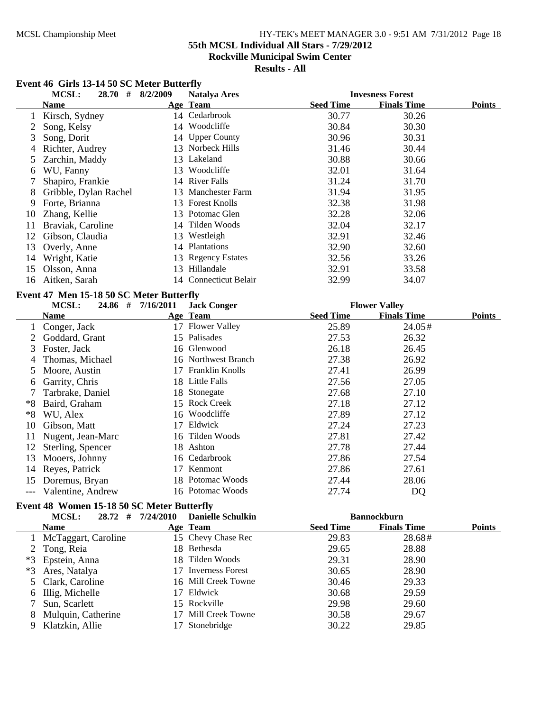# **55th MCSL Individual All Stars - 7/29/2012**

**Rockville Municipal Swim Center**

# **Results - All**

# **Event 46 Girls 13-14 50 SC Meter Butterfly**

|    | <b>MCSL:</b><br>28.70<br># | 8/2/2009 | <b>Natalya Ares</b>   |                  | <b>Invesness Forest</b> |               |
|----|----------------------------|----------|-----------------------|------------------|-------------------------|---------------|
|    | Name                       |          | Age Team              | <b>Seed Time</b> | <b>Finals Time</b>      | <b>Points</b> |
|    | Kirsch, Sydney             |          | 14 Cedarbrook         | 30.77            | 30.26                   |               |
|    | Song, Kelsy                | 14       | Woodcliffe            | 30.84            | 30.30                   |               |
| 3  | Song, Dorit                |          | 14 Upper County       | 30.96            | 30.31                   |               |
| 4  | Richter, Audrey            | 13       | Norbeck Hills         | 31.46            | 30.44                   |               |
| 5. | Zarchin, Maddy             | 13       | Lakeland              | 30.88            | 30.66                   |               |
| 6  | WU, Fanny                  | 13       | Woodcliffe            | 32.01            | 31.64                   |               |
|    | Shapiro, Frankie           |          | 14 River Falls        | 31.24            | 31.70                   |               |
| 8  | Gribble, Dylan Rachel      |          | 13 Manchester Farm    | 31.94            | 31.95                   |               |
| 9  | Forte, Brianna             |          | 13 Forest Knolls      | 32.38            | 31.98                   |               |
| 10 | Zhang, Kellie              |          | 13 Potomac Glen       | 32.28            | 32.06                   |               |
| 11 | Braviak, Caroline          |          | 14 Tilden Woods       | 32.04            | 32.17                   |               |
| 12 | Gibson, Claudia            | 13       | Westleigh             | 32.91            | 32.46                   |               |
| 13 | Overly, Anne               | 14       | <b>Plantations</b>    | 32.90            | 32.60                   |               |
| 14 | Wright, Katie              |          | 13 Regency Estates    | 32.56            | 33.26                   |               |
| 15 | Olsson, Anna               | 13       | Hillandale            | 32.91            | 33.58                   |               |
| 16 | Aitken, Sarah              |          | 14 Connecticut Belair | 32.99            | 34.07                   |               |

#### **Event 47 Men 15-18 50 SC Meter Butterfly**

# **MCSL:** 24.86 # 7/16/2011 Jack Conger<br> **Flower Valley**

|    | <b>Name</b>       |    | Age Team            | <b>Seed Time</b> | <b>Finals Time</b> | <b>Points</b> |
|----|-------------------|----|---------------------|------------------|--------------------|---------------|
|    | Conger, Jack      |    | 17 Flower Valley    | 25.89            | 24.05#             |               |
|    | Goddard, Grant    |    | 15 Palisades        | 27.53            | 26.32              |               |
| 3  | Foster, Jack      |    | 16 Glenwood         | 26.18            | 26.45              |               |
| 4  | Thomas, Michael   |    | 16 Northwest Branch | 27.38            | 26.92              |               |
|    | 5 Moore, Austin   |    | 17 Franklin Knolls  | 27.41            | 26.99              |               |
| 6  | Garrity, Chris    |    | 18 Little Falls     | 27.56            | 27.05              |               |
|    | Tarbrake, Daniel  |    | 18 Stonegate        | 27.68            | 27.10              |               |
| *8 | Baird, Graham     |    | 15 Rock Creek       | 27.18            | 27.12              |               |
| *8 | WU, Alex          |    | 16 Woodcliffe       | 27.89            | 27.12              |               |
| 10 | Gibson, Matt      | 17 | Eldwick             | 27.24            | 27.23              |               |
| 11 | Nugent, Jean-Marc |    | 16 Tilden Woods     | 27.81            | 27.42              |               |
| 12 | Sterling, Spencer |    | 18 Ashton           | 27.78            | 27.44              |               |
| 13 | Mooers, Johnny    |    | 16 Cedarbrook       | 27.86            | 27.54              |               |
| 14 | Reyes, Patrick    | 17 | Kenmont             | 27.86            | 27.61              |               |
| 15 | Doremus, Bryan    |    | 18 Potomac Woods    | 27.44            | 28.06              |               |
|    | Valentine, Andrew |    | 16 Potomac Woods    | 27.74            | DQ                 |               |

#### **Event 48 Women 15-18 50 SC Meter Butterfly**

|   | $28.72$ #<br><b>MCSL:</b> | 7/24/2010<br><b>Danielle Schulkin</b> | <b>Bannockburn</b> |                    |               |
|---|---------------------------|---------------------------------------|--------------------|--------------------|---------------|
|   | <b>Name</b>               | Age Team                              | <b>Seed Time</b>   | <b>Finals Time</b> | <b>Points</b> |
|   | McTaggart, Caroline       | 15 Chevy Chase Rec                    | 29.83              | 28.68#             |               |
|   | 2 Tong, Reia              | 18 Bethesda                           | 29.65              | 28.88              |               |
|   | *3 Epstein, Anna          | 18 Tilden Woods                       | 29.31              | 28.90              |               |
|   | *3 Ares, Natalya          | 17 Inverness Forest                   | 30.65              | 28.90              |               |
|   | 5 Clark, Caroline         | 16 Mill Creek Towne                   | 30.46              | 29.33              |               |
| 6 | Illig, Michelle           | 17 Eldwick                            | 30.68              | 29.59              |               |
|   | Sun, Scarlett             | 15 Rockville                          | 29.98              | 29.60              |               |
|   | Mulquin, Catherine        | 17 Mill Creek Towne                   | 30.58              | 29.67              |               |
|   | Klatzkin, Allie           | Stonebridge                           | 30.22              | 29.85              |               |